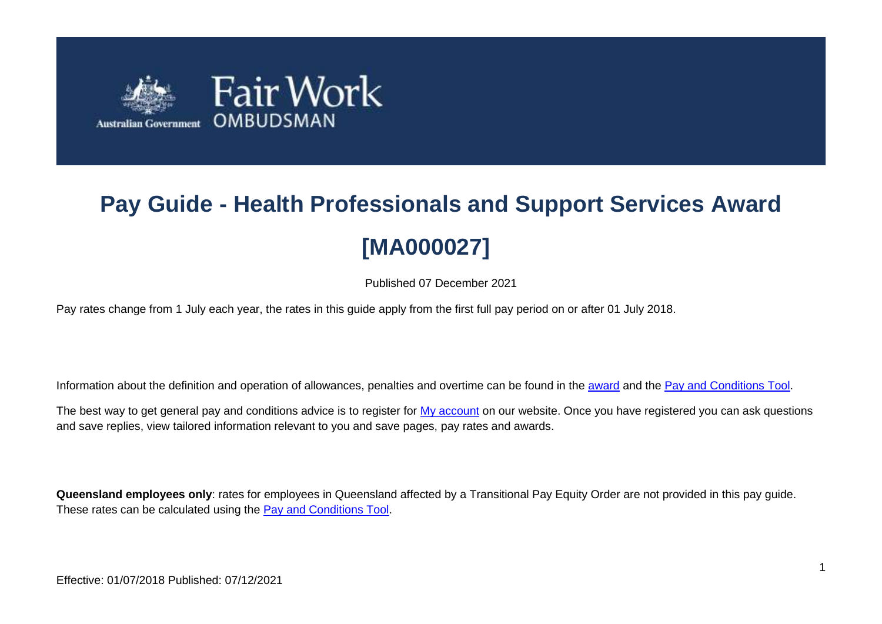

# **Pay Guide - Health Professionals and Support Services Award [MA000027]**

Published 07 December 2021

Pay rates change from 1 July each year, the rates in this guide apply from the first full pay period on or after 01 July 2018.

Information about the definition and operation of allowances, penalties and overtime can be found in the [award](https://www.fairwork.gov.au/awards-and-agreements/awards/list-of-awards) and the [Pay and Conditions Tool.](https://calculate.fairwork.gov.au/)

The best way to get general pay and conditions advice is to register for [My account](https://www.fairwork.gov.au/my-account/registerpage.aspx) on our website. Once you have registered you can ask questions and save replies, view tailored information relevant to you and save pages, pay rates and awards.

**Queensland employees only**: rates for employees in Queensland affected by a Transitional Pay Equity Order are not provided in this pay guide. These rates can be calculated using the [Pay and Conditions Tool.](https://calculate.fairwork.gov.au/)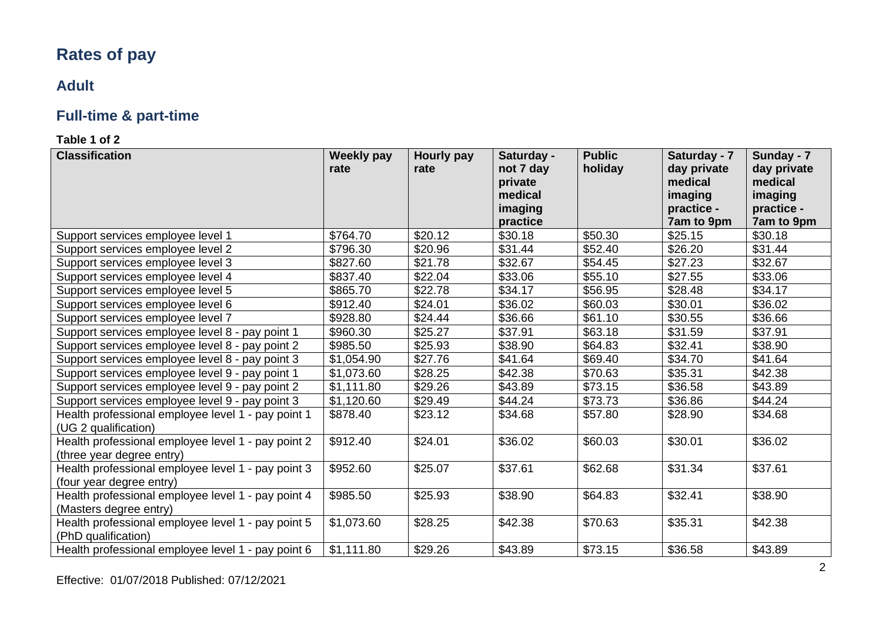# **Rates of pay**

### **Adult**

# **Full-time & part-time**

| <b>Classification</b>                                                           | Weekly pay<br>rate | Hourly pay<br>rate | Saturday -<br>not 7 day<br>private<br>medical<br>imaging<br>practice | <b>Public</b><br>holiday | Saturday - 7<br>day private<br>medical<br>imaging<br>practice -<br>7am to 9pm | Sunday - 7<br>day private<br>medical<br>imaging<br>practice -<br>7am to 9pm |
|---------------------------------------------------------------------------------|--------------------|--------------------|----------------------------------------------------------------------|--------------------------|-------------------------------------------------------------------------------|-----------------------------------------------------------------------------|
| Support services employee level 1                                               | \$764.70           | \$20.12            | \$30.18                                                              | \$50.30                  | \$25.15                                                                       | \$30.18                                                                     |
| Support services employee level 2                                               | \$796.30           | \$20.96            | \$31.44                                                              | \$52.40                  | \$26.20                                                                       | \$31.44                                                                     |
| Support services employee level 3                                               | \$827.60           | \$21.78            | \$32.67                                                              | \$54.45                  | \$27.23                                                                       | \$32.67                                                                     |
| Support services employee level 4                                               | \$837.40           | \$22.04            | \$33.06                                                              | \$55.10                  | \$27.55                                                                       | \$33.06                                                                     |
| Support services employee level 5                                               | \$865.70           | \$22.78            | \$34.17                                                              | \$56.95                  | \$28.48                                                                       | \$34.17                                                                     |
| Support services employee level 6                                               | \$912.40           | \$24.01            | \$36.02                                                              | \$60.03                  | \$30.01                                                                       | \$36.02                                                                     |
| Support services employee level 7                                               | \$928.80           | \$24.44            | \$36.66                                                              | \$61.10                  | \$30.55                                                                       | \$36.66                                                                     |
| Support services employee level 8 - pay point 1                                 | \$960.30           | \$25.27            | \$37.91                                                              | \$63.18                  | \$31.59                                                                       | \$37.91                                                                     |
| Support services employee level 8 - pay point 2                                 | \$985.50           | \$25.93            | \$38.90                                                              | \$64.83                  | \$32.41                                                                       | \$38.90                                                                     |
| Support services employee level 8 - pay point 3                                 | \$1,054.90         | \$27.76            | \$41.64                                                              | \$69.40                  | \$34.70                                                                       | \$41.64                                                                     |
| Support services employee level 9 - pay point 1                                 | \$1,073.60         | \$28.25            | \$42.38                                                              | \$70.63                  | \$35.31                                                                       | \$42.38                                                                     |
| Support services employee level 9 - pay point 2                                 | \$1,111.80         | \$29.26            | \$43.89                                                              | \$73.15                  | \$36.58                                                                       | \$43.89                                                                     |
| Support services employee level 9 - pay point 3                                 | \$1,120.60         | \$29.49            | \$44.24                                                              | \$73.73                  | \$36.86                                                                       | \$44.24                                                                     |
| Health professional employee level 1 - pay point 1<br>(UG 2 qualification)      | \$878.40           | \$23.12            | \$34.68                                                              | \$57.80                  | \$28.90                                                                       | \$34.68                                                                     |
| Health professional employee level 1 - pay point 2<br>(three year degree entry) | \$912.40           | \$24.01            | \$36.02                                                              | \$60.03                  | \$30.01                                                                       | \$36.02                                                                     |
| Health professional employee level 1 - pay point 3<br>(four year degree entry)  | \$952.60           | \$25.07            | \$37.61                                                              | \$62.68                  | \$31.34                                                                       | \$37.61                                                                     |
| Health professional employee level 1 - pay point 4<br>(Masters degree entry)    | \$985.50           | \$25.93            | \$38.90                                                              | \$64.83                  | \$32.41                                                                       | \$38.90                                                                     |
| Health professional employee level 1 - pay point 5<br>(PhD qualification)       | \$1,073.60         | \$28.25            | \$42.38                                                              | \$70.63                  | \$35.31                                                                       | \$42.38                                                                     |
| Health professional employee level 1 - pay point 6                              | \$1,111.80         | \$29.26            | \$43.89                                                              | \$73.15                  | \$36.58                                                                       | \$43.89                                                                     |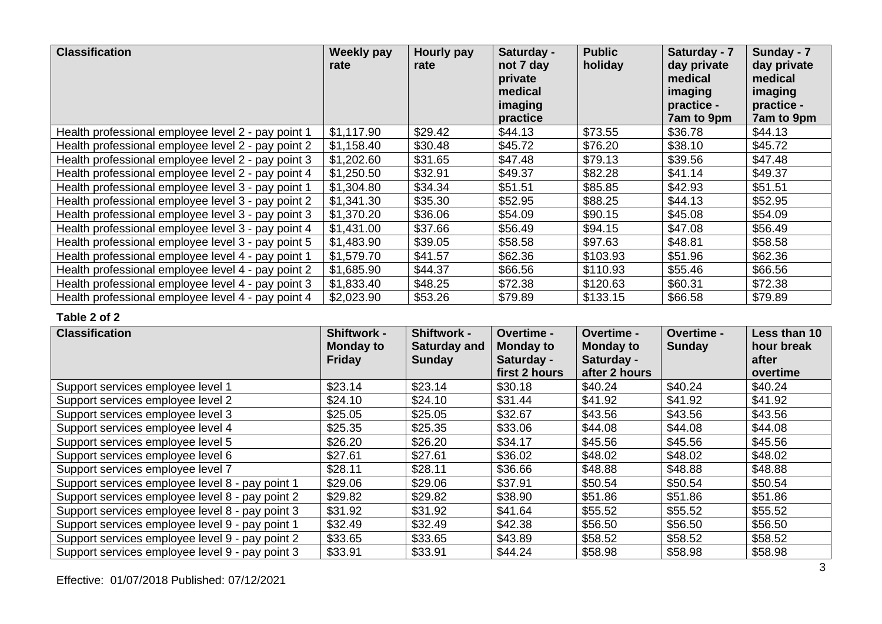| <b>Classification</b>                              | <b>Weekly pay</b><br>rate | Hourly pay<br>rate | Saturday -<br>not 7 day<br>private<br>medical<br>imaging<br>practice | <b>Public</b><br>holiday | Saturday - 7<br>day private<br>medical<br>imaging<br>practice -<br>7am to 9pm | Sunday - 7<br>day private<br>medical<br>imaging<br>practice -<br>7am to 9pm |
|----------------------------------------------------|---------------------------|--------------------|----------------------------------------------------------------------|--------------------------|-------------------------------------------------------------------------------|-----------------------------------------------------------------------------|
| Health professional employee level 2 - pay point 1 | \$1,117.90                | \$29.42            | \$44.13                                                              | \$73.55                  | \$36.78                                                                       | \$44.13                                                                     |
| Health professional employee level 2 - pay point 2 | \$1,158.40                | \$30.48            | \$45.72                                                              | \$76.20                  | \$38.10                                                                       | \$45.72                                                                     |
| Health professional employee level 2 - pay point 3 | \$1,202.60                | \$31.65            | \$47.48                                                              | \$79.13                  | \$39.56                                                                       | \$47.48                                                                     |
| Health professional employee level 2 - pay point 4 | \$1,250.50                | \$32.91            | \$49.37                                                              | \$82.28                  | \$41.14                                                                       | \$49.37                                                                     |
| Health professional employee level 3 - pay point 1 | \$1,304.80                | \$34.34            | \$51.51                                                              | \$85.85                  | \$42.93                                                                       | \$51.51                                                                     |
| Health professional employee level 3 - pay point 2 | \$1,341.30                | \$35.30            | \$52.95                                                              | \$88.25                  | \$44.13                                                                       | \$52.95                                                                     |
| Health professional employee level 3 - pay point 3 | \$1,370.20                | \$36.06            | \$54.09                                                              | \$90.15                  | \$45.08                                                                       | \$54.09                                                                     |
| Health professional employee level 3 - pay point 4 | \$1,431.00                | \$37.66            | \$56.49                                                              | \$94.15                  | \$47.08                                                                       | \$56.49                                                                     |
| Health professional employee level 3 - pay point 5 | \$1,483.90                | \$39.05            | \$58.58                                                              | \$97.63                  | \$48.81                                                                       | \$58.58                                                                     |
| Health professional employee level 4 - pay point 1 | \$1,579.70                | \$41.57            | \$62.36                                                              | \$103.93                 | \$51.96                                                                       | \$62.36                                                                     |
| Health professional employee level 4 - pay point 2 | \$1,685.90                | \$44.37            | \$66.56                                                              | \$110.93                 | \$55.46                                                                       | \$66.56                                                                     |
| Health professional employee level 4 - pay point 3 | \$1,833.40                | \$48.25            | \$72.38                                                              | \$120.63                 | \$60.31                                                                       | \$72.38                                                                     |
| Health professional employee level 4 - pay point 4 | \$2,023.90                | \$53.26            | \$79.89                                                              | \$133.15                 | \$66.58                                                                       | \$79.89                                                                     |

| <b>Classification</b>                           | <b>Shiftwork -</b>                | <b>Shiftwork -</b>                   | Overtime -                     | <b>Overtime -</b>              | <b>Overtime -</b> | Less than 10        |
|-------------------------------------------------|-----------------------------------|--------------------------------------|--------------------------------|--------------------------------|-------------------|---------------------|
|                                                 | <b>Monday to</b><br><b>Friday</b> | <b>Saturday and</b><br><b>Sunday</b> | <b>Monday to</b><br>Saturday - | <b>Monday to</b><br>Saturday - | Sunday            | hour break<br>after |
|                                                 |                                   |                                      | first 2 hours                  | after 2 hours                  |                   | overtime            |
| Support services employee level 1               | \$23.14                           | \$23.14                              | \$30.18                        | \$40.24                        | \$40.24           | \$40.24             |
| Support services employee level 2               | \$24.10                           | \$24.10                              | \$31.44                        | \$41.92                        | \$41.92           | \$41.92             |
| Support services employee level 3               | \$25.05                           | \$25.05                              | \$32.67                        | \$43.56                        | \$43.56           | \$43.56             |
| Support services employee level 4               | \$25.35                           | \$25.35                              | \$33.06                        | \$44.08                        | \$44.08           | \$44.08             |
| Support services employee level 5               | \$26.20                           | \$26.20                              | \$34.17                        | \$45.56                        | \$45.56           | \$45.56             |
| Support services employee level 6               | \$27.61                           | \$27.61                              | \$36.02                        | \$48.02                        | \$48.02           | \$48.02             |
| Support services employee level 7               | \$28.11                           | \$28.11                              | \$36.66                        | \$48.88                        | \$48.88           | \$48.88             |
| Support services employee level 8 - pay point 1 | \$29.06                           | \$29.06                              | \$37.91                        | \$50.54                        | \$50.54           | \$50.54             |
| Support services employee level 8 - pay point 2 | \$29.82                           | \$29.82                              | \$38.90                        | \$51.86                        | \$51.86           | \$51.86             |
| Support services employee level 8 - pay point 3 | \$31.92                           | \$31.92                              | \$41.64                        | \$55.52                        | \$55.52           | \$55.52             |
| Support services employee level 9 - pay point 1 | \$32.49                           | \$32.49                              | \$42.38                        | \$56.50                        | \$56.50           | \$56.50             |
| Support services employee level 9 - pay point 2 | \$33.65                           | \$33.65                              | \$43.89                        | \$58.52                        | \$58.52           | \$58.52             |
| Support services employee level 9 - pay point 3 | \$33.91                           | \$33.91                              | \$44.24                        | \$58.98                        | \$58.98           | \$58.98             |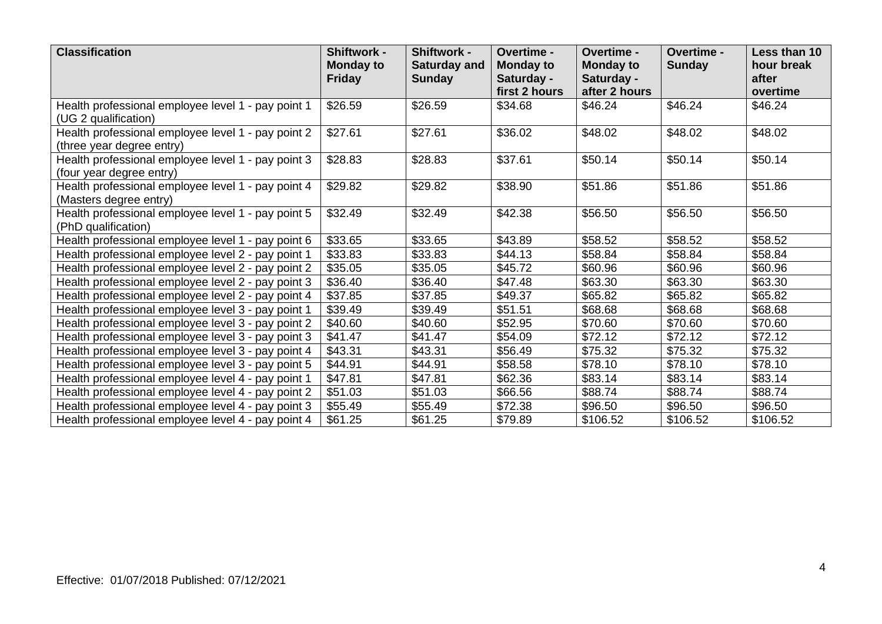| <b>Classification</b>                                                           | <b>Shiftwork -</b><br><b>Monday to</b> | <b>Shiftwork -</b><br><b>Saturday and</b> | Overtime -<br><b>Monday to</b> | Overtime -<br><b>Monday to</b> | Overtime -<br><b>Sunday</b> | <b>Less than 10</b><br>hour break |
|---------------------------------------------------------------------------------|----------------------------------------|-------------------------------------------|--------------------------------|--------------------------------|-----------------------------|-----------------------------------|
|                                                                                 | <b>Friday</b>                          | <b>Sunday</b>                             | Saturday -<br>first 2 hours    | Saturday -<br>after 2 hours    |                             | after<br>overtime                 |
| Health professional employee level 1 - pay point 1<br>(UG 2 qualification)      | \$26.59                                | \$26.59                                   | \$34.68                        | \$46.24                        | \$46.24                     | \$46.24                           |
| Health professional employee level 1 - pay point 2<br>(three year degree entry) | \$27.61                                | \$27.61                                   | \$36.02                        | \$48.02                        | \$48.02                     | \$48.02                           |
| Health professional employee level 1 - pay point 3<br>(four year degree entry)  | \$28.83                                | \$28.83                                   | \$37.61                        | \$50.14                        | \$50.14                     | \$50.14                           |
| Health professional employee level 1 - pay point 4<br>(Masters degree entry)    | \$29.82                                | \$29.82                                   | \$38.90                        | \$51.86                        | \$51.86                     | \$51.86                           |
| Health professional employee level 1 - pay point 5<br>(PhD qualification)       | \$32.49                                | \$32.49                                   | \$42.38                        | \$56.50                        | \$56.50                     | \$56.50                           |
| Health professional employee level 1 - pay point 6                              | \$33.65                                | \$33.65                                   | \$43.89                        | \$58.52                        | \$58.52                     | \$58.52                           |
| Health professional employee level 2 - pay point 1                              | \$33.83                                | \$33.83                                   | \$44.13                        | \$58.84                        | \$58.84                     | \$58.84                           |
| Health professional employee level 2 - pay point 2                              | \$35.05                                | \$35.05                                   | \$45.72                        | \$60.96                        | \$60.96                     | \$60.96                           |
| Health professional employee level 2 - pay point 3                              | \$36.40                                | \$36.40                                   | \$47.48                        | \$63.30                        | \$63.30                     | \$63.30                           |
| Health professional employee level 2 - pay point 4                              | \$37.85                                | \$37.85                                   | \$49.37                        | \$65.82                        | \$65.82                     | \$65.82                           |
| Health professional employee level 3 - pay point 1                              | \$39.49                                | \$39.49                                   | \$51.51                        | \$68.68                        | \$68.68                     | \$68.68                           |
| Health professional employee level 3 - pay point 2                              | \$40.60                                | \$40.60                                   | \$52.95                        | \$70.60                        | \$70.60                     | \$70.60                           |
| Health professional employee level 3 - pay point 3                              | \$41.47                                | \$41.47                                   | \$54.09                        | \$72.12                        | \$72.12                     | \$72.12                           |
| Health professional employee level 3 - pay point 4                              | \$43.31                                | \$43.31                                   | \$56.49                        | \$75.32                        | \$75.32                     | \$75.32                           |
| Health professional employee level 3 - pay point 5                              | \$44.91                                | \$44.91                                   | \$58.58                        | \$78.10                        | \$78.10                     | \$78.10                           |
| Health professional employee level 4 - pay point 1                              | \$47.81                                | \$47.81                                   | \$62.36                        | \$83.14                        | \$83.14                     | \$83.14                           |
| Health professional employee level 4 - pay point 2                              | \$51.03                                | \$51.03                                   | \$66.56                        | \$88.74                        | \$88.74                     | \$88.74                           |
| Health professional employee level 4 - pay point 3                              | \$55.49                                | \$55.49                                   | \$72.38                        | \$96.50                        | \$96.50                     | \$96.50                           |
| Health professional employee level 4 - pay point 4                              | \$61.25                                | \$61.25                                   | \$79.89                        | \$106.52                       | \$106.52                    | \$106.52                          |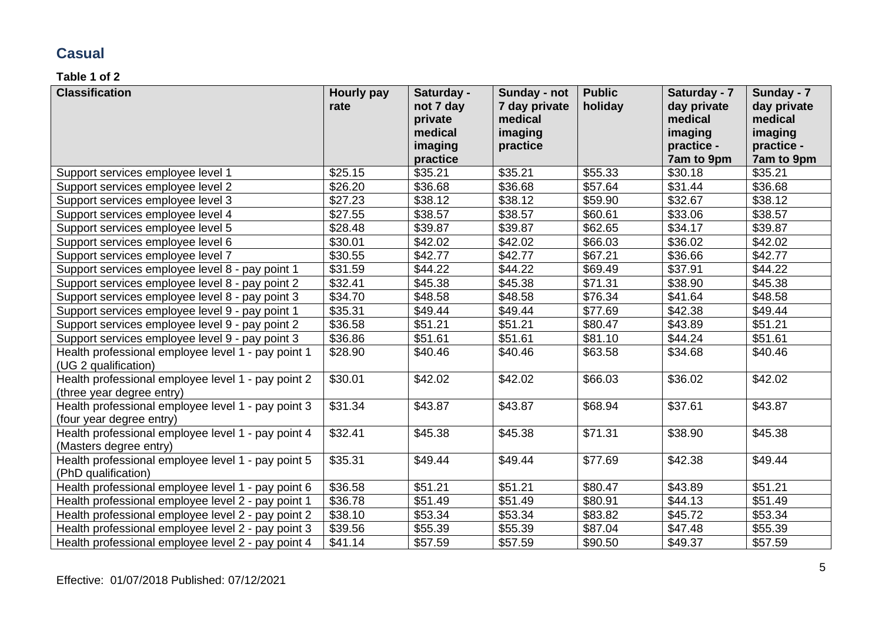### **Casual**

| <b>Classification</b>                              | Hourly pay | Saturday - | Sunday - not  | <b>Public</b> | Saturday - 7 | Sunday - 7  |
|----------------------------------------------------|------------|------------|---------------|---------------|--------------|-------------|
|                                                    | rate       | not 7 day  | 7 day private | holiday       | day private  | day private |
|                                                    |            | private    | medical       |               | medical      | medical     |
|                                                    |            | medical    | imaging       |               | imaging      | imaging     |
|                                                    |            | imaging    | practice      |               | practice -   | practice -  |
|                                                    |            | practice   |               |               | 7am to 9pm   | 7am to 9pm  |
| Support services employee level 1                  | \$25.15    | \$35.21    | \$35.21       | \$55.33       | \$30.18      | \$35.21     |
| Support services employee level 2                  | \$26.20    | \$36.68    | \$36.68       | \$57.64       | \$31.44      | \$36.68     |
| Support services employee level 3                  | \$27.23    | \$38.12    | \$38.12       | \$59.90       | \$32.67      | \$38.12     |
| Support services employee level 4                  | \$27.55    | \$38.57    | \$38.57       | \$60.61       | \$33.06      | \$38.57     |
| Support services employee level 5                  | \$28.48    | \$39.87    | \$39.87       | \$62.65       | \$34.17      | \$39.87     |
| Support services employee level 6                  | \$30.01    | \$42.02    | \$42.02       | \$66.03       | \$36.02      | \$42.02     |
| Support services employee level 7                  | \$30.55    | \$42.77    | \$42.77       | \$67.21       | \$36.66      | \$42.77     |
| Support services employee level 8 - pay point 1    | \$31.59    | \$44.22    | \$44.22       | \$69.49       | \$37.91      | \$44.22     |
| Support services employee level 8 - pay point 2    | \$32.41    | \$45.38    | \$45.38       | \$71.31       | \$38.90      | \$45.38     |
| Support services employee level 8 - pay point 3    | \$34.70    | \$48.58    | \$48.58       | \$76.34       | \$41.64      | \$48.58     |
| Support services employee level 9 - pay point 1    | \$35.31    | \$49.44    | \$49.44       | \$77.69       | \$42.38      | \$49.44     |
| Support services employee level 9 - pay point 2    | \$36.58    | \$51.21    | \$51.21       | \$80.47       | \$43.89      | \$51.21     |
| Support services employee level 9 - pay point 3    | \$36.86    | \$51.61    | \$51.61       | \$81.10       | \$44.24      | \$51.61     |
| Health professional employee level 1 - pay point 1 | \$28.90    | \$40.46    | \$40.46       | \$63.58       | \$34.68      | \$40.46     |
| (UG 2 qualification)                               |            |            |               |               |              |             |
| Health professional employee level 1 - pay point 2 | \$30.01    | \$42.02    | \$42.02       | \$66.03       | \$36.02      | \$42.02     |
| (three year degree entry)                          |            |            |               |               |              |             |
| Health professional employee level 1 - pay point 3 | \$31.34    | \$43.87    | \$43.87       | \$68.94       | \$37.61      | \$43.87     |
| (four year degree entry)                           |            |            |               |               |              |             |
| Health professional employee level 1 - pay point 4 | \$32.41    | \$45.38    | \$45.38       | \$71.31       | \$38.90      | \$45.38     |
| (Masters degree entry)                             |            |            |               |               |              |             |
| Health professional employee level 1 - pay point 5 | \$35.31    | \$49.44    | \$49.44       | \$77.69       | \$42.38      | \$49.44     |
| (PhD qualification)                                |            |            |               |               |              |             |
| Health professional employee level 1 - pay point 6 | \$36.58    | \$51.21    | \$51.21       | \$80.47       | \$43.89      | \$51.21     |
| Health professional employee level 2 - pay point 1 | \$36.78    | \$51.49    | \$51.49       | \$80.91       | \$44.13      | \$51.49     |
| Health professional employee level 2 - pay point 2 | \$38.10    | \$53.34    | \$53.34       | \$83.82       | \$45.72      | \$53.34     |
| Health professional employee level 2 - pay point 3 | \$39.56    | \$55.39    | \$55.39       | \$87.04       | \$47.48      | \$55.39     |
| Health professional employee level 2 - pay point 4 | \$41.14    | \$57.59    | \$57.59       | \$90.50       | \$49.37      | \$57.59     |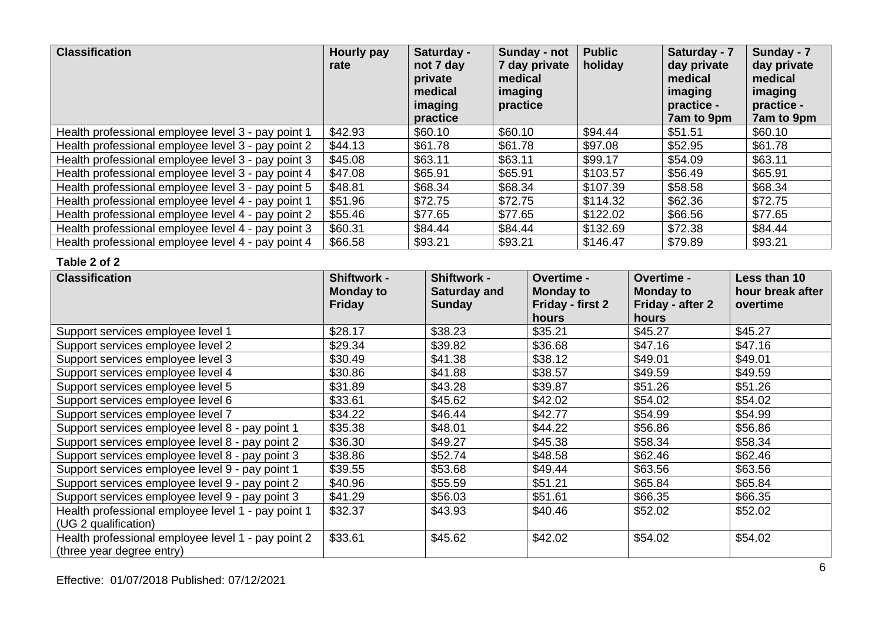| <b>Classification</b>                              | Hourly pay<br>rate | Saturday -<br>not 7 day<br>private<br>medical<br>imaging<br>practice | Sunday - not<br>7 day private<br>medical<br>imaging<br>practice | <b>Public</b><br>holiday | Saturday - 7<br>day private<br>medical<br>imaging<br>practice -<br>7am to 9pm | Sunday - 7<br>day private<br>medical<br>imaging<br>practice -<br>7am to 9pm |
|----------------------------------------------------|--------------------|----------------------------------------------------------------------|-----------------------------------------------------------------|--------------------------|-------------------------------------------------------------------------------|-----------------------------------------------------------------------------|
| Health professional employee level 3 - pay point 1 | \$42.93            | \$60.10                                                              | \$60.10                                                         | \$94.44                  | \$51.51                                                                       | \$60.10                                                                     |
| Health professional employee level 3 - pay point 2 | \$44.13            | \$61.78                                                              | \$61.78                                                         | \$97.08                  | \$52.95                                                                       | \$61.78                                                                     |
| Health professional employee level 3 - pay point 3 | \$45.08            | \$63.11                                                              | \$63.11                                                         | \$99.17                  | \$54.09                                                                       | \$63.11                                                                     |
| Health professional employee level 3 - pay point 4 | \$47.08            | \$65.91                                                              | \$65.91                                                         | \$103.57                 | \$56.49                                                                       | \$65.91                                                                     |
| Health professional employee level 3 - pay point 5 | \$48.81            | \$68.34                                                              | \$68.34                                                         | \$107.39                 | \$58.58                                                                       | \$68.34                                                                     |
| Health professional employee level 4 - pay point 1 | \$51.96            | \$72.75                                                              | \$72.75                                                         | \$114.32                 | \$62.36                                                                       | \$72.75                                                                     |
| Health professional employee level 4 - pay point 2 | \$55.46            | \$77.65                                                              | \$77.65                                                         | \$122.02                 | \$66.56                                                                       | \$77.65                                                                     |
| Health professional employee level 4 - pay point 3 | \$60.31            | \$84.44                                                              | \$84.44                                                         | \$132.69                 | \$72.38                                                                       | \$84.44                                                                     |
| Health professional employee level 4 - pay point 4 | \$66.58            | \$93.21                                                              | \$93.21                                                         | \$146.47                 | \$79.89                                                                       | \$93.21                                                                     |

| <b>Classification</b>                              | <b>Shiftwork -</b><br><b>Monday to</b> | <b>Shiftwork -</b><br>Saturday and | <b>Overtime -</b><br><b>Monday to</b> | <b>Overtime -</b><br><b>Monday to</b> | Less than 10<br>hour break after |
|----------------------------------------------------|----------------------------------------|------------------------------------|---------------------------------------|---------------------------------------|----------------------------------|
|                                                    | <b>Friday</b>                          | <b>Sunday</b>                      | Friday - first 2                      | Friday - after 2                      | overtime                         |
|                                                    |                                        |                                    | hours                                 | hours                                 |                                  |
| Support services employee level 1                  | \$28.17                                | \$38.23                            | \$35.21                               | \$45.27                               | \$45.27                          |
| Support services employee level 2                  | \$29.34                                | \$39.82                            | \$36.68                               | \$47.16                               | \$47.16                          |
| Support services employee level 3                  | \$30.49                                | \$41.38                            | \$38.12                               | \$49.01                               | \$49.01                          |
| Support services employee level 4                  | \$30.86                                | \$41.88                            | \$38.57                               | \$49.59                               | \$49.59                          |
| Support services employee level 5                  | \$31.89                                | \$43.28                            | \$39.87                               | \$51.26                               | \$51.26                          |
| Support services employee level 6                  | \$33.61                                | \$45.62                            | \$42.02                               | \$54.02                               | \$54.02                          |
| Support services employee level 7                  | \$34.22                                | \$46.44                            | \$42.77                               | \$54.99                               | \$54.99                          |
| Support services employee level 8 - pay point 1    | \$35.38                                | \$48.01                            | \$44.22                               | \$56.86                               | \$56.86                          |
| Support services employee level 8 - pay point 2    | \$36.30                                | \$49.27                            | \$45.38                               | \$58.34                               | \$58.34                          |
| Support services employee level 8 - pay point 3    | \$38.86                                | \$52.74                            | \$48.58                               | \$62.46                               | \$62.46                          |
| Support services employee level 9 - pay point 1    | \$39.55                                | \$53.68                            | \$49.44                               | \$63.56                               | \$63.56                          |
| Support services employee level 9 - pay point 2    | \$40.96                                | \$55.59                            | \$51.21                               | \$65.84                               | \$65.84                          |
| Support services employee level 9 - pay point 3    | \$41.29                                | \$56.03                            | \$51.61                               | \$66.35                               | \$66.35                          |
| Health professional employee level 1 - pay point 1 | \$32.37                                | \$43.93                            | \$40.46                               | \$52.02                               | \$52.02                          |
| (UG 2 qualification)                               |                                        |                                    |                                       |                                       |                                  |
| Health professional employee level 1 - pay point 2 | \$33.61                                | \$45.62                            | \$42.02                               | \$54.02                               | \$54.02                          |
| (three year degree entry)                          |                                        |                                    |                                       |                                       |                                  |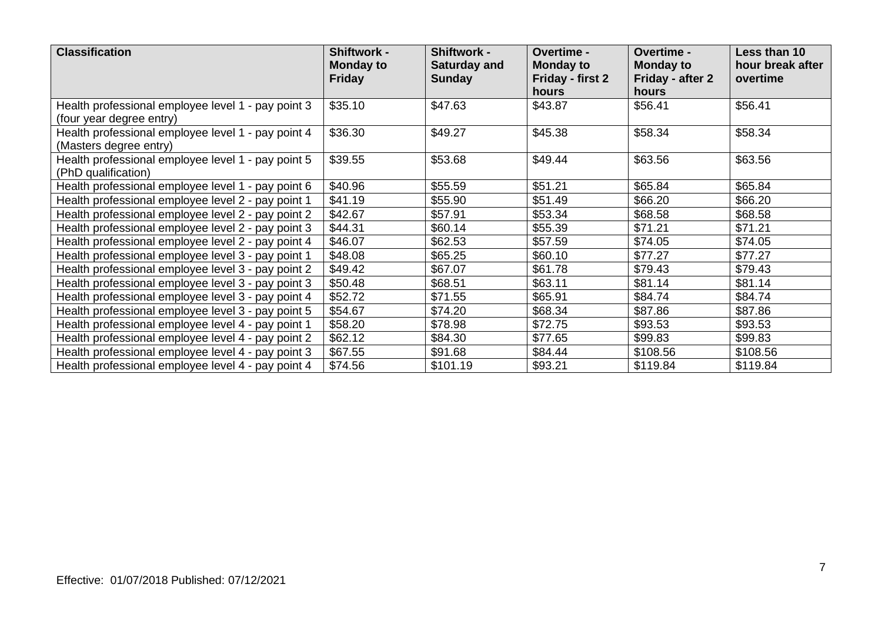| <b>Classification</b>                                                          | <b>Shiftwork -</b><br><b>Monday to</b><br><b>Friday</b> | <b>Shiftwork -</b><br>Saturday and<br><b>Sunday</b> | Overtime -<br><b>Monday to</b><br>Friday - first 2<br><b>hours</b> | <b>Overtime -</b><br><b>Monday to</b><br>Friday - after 2<br>hours | Less than 10<br>hour break after<br>overtime |
|--------------------------------------------------------------------------------|---------------------------------------------------------|-----------------------------------------------------|--------------------------------------------------------------------|--------------------------------------------------------------------|----------------------------------------------|
| Health professional employee level 1 - pay point 3<br>(four year degree entry) | \$35.10                                                 | \$47.63                                             | \$43.87                                                            | \$56.41                                                            | \$56.41                                      |
| Health professional employee level 1 - pay point 4<br>(Masters degree entry)   | \$36.30                                                 | \$49.27                                             | \$45.38                                                            | \$58.34                                                            | \$58.34                                      |
| Health professional employee level 1 - pay point 5<br>(PhD qualification)      | \$39.55                                                 | \$53.68                                             | \$49.44                                                            | \$63.56                                                            | \$63.56                                      |
| Health professional employee level 1 - pay point 6                             | \$40.96                                                 | \$55.59                                             | \$51.21                                                            | \$65.84                                                            | \$65.84                                      |
| Health professional employee level 2 - pay point 1                             | \$41.19                                                 | \$55.90                                             | \$51.49                                                            | \$66.20                                                            | \$66.20                                      |
| Health professional employee level 2 - pay point 2                             | \$42.67                                                 | \$57.91                                             | \$53.34                                                            | \$68.58                                                            | \$68.58                                      |
| Health professional employee level 2 - pay point 3                             | \$44.31                                                 | \$60.14                                             | \$55.39                                                            | \$71.21                                                            | \$71.21                                      |
| Health professional employee level 2 - pay point 4                             | \$46.07                                                 | \$62.53                                             | \$57.59                                                            | \$74.05                                                            | \$74.05                                      |
| Health professional employee level 3 - pay point 1                             | \$48.08                                                 | \$65.25                                             | \$60.10                                                            | \$77.27                                                            | \$77.27                                      |
| Health professional employee level 3 - pay point 2                             | \$49.42                                                 | \$67.07                                             | \$61.78                                                            | \$79.43                                                            | \$79.43                                      |
| Health professional employee level 3 - pay point 3                             | \$50.48                                                 | \$68.51                                             | \$63.11                                                            | \$81.14                                                            | \$81.14                                      |
| Health professional employee level 3 - pay point 4                             | \$52.72                                                 | \$71.55                                             | \$65.91                                                            | \$84.74                                                            | \$84.74                                      |
| Health professional employee level 3 - pay point 5                             | \$54.67                                                 | \$74.20                                             | \$68.34                                                            | \$87.86                                                            | \$87.86                                      |
| Health professional employee level 4 - pay point 1                             | \$58.20                                                 | \$78.98                                             | \$72.75                                                            | \$93.53                                                            | \$93.53                                      |
| Health professional employee level 4 - pay point 2                             | \$62.12                                                 | \$84.30                                             | \$77.65                                                            | \$99.83                                                            | \$99.83                                      |
| Health professional employee level 4 - pay point 3                             | \$67.55                                                 | \$91.68                                             | \$84.44                                                            | \$108.56                                                           | \$108.56                                     |
| Health professional employee level 4 - pay point 4                             | \$74.56                                                 | \$101.19                                            | \$93.21                                                            | \$119.84                                                           | \$119.84                                     |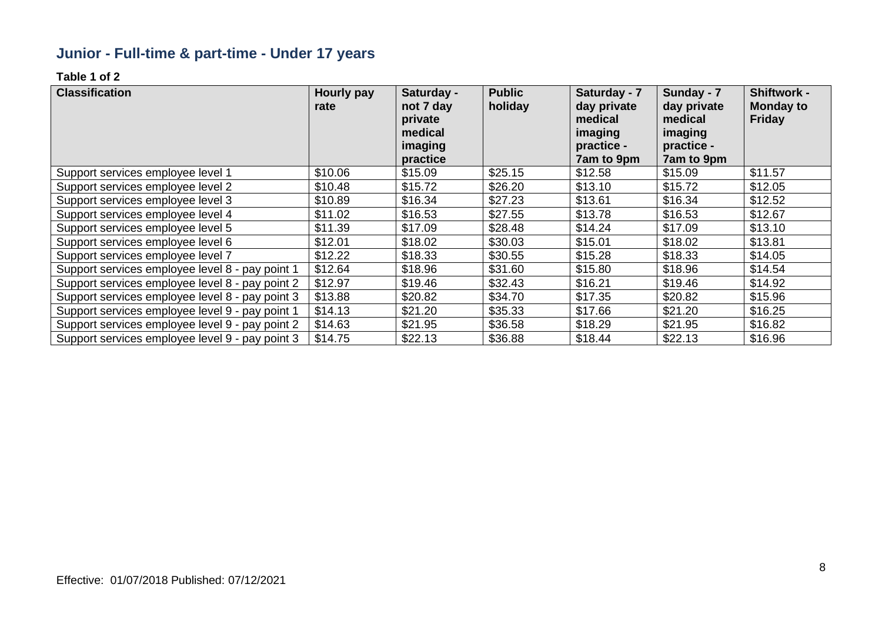# **Junior - Full-time & part-time - Under 17 years**

| <b>Classification</b>                           | Hourly pay<br>rate | Saturday -<br>not 7 day<br>private<br>medical<br>imaging<br>practice | <b>Public</b><br>holiday | Saturday - 7<br>day private<br>medical<br>imaging<br>practice -<br>7am to 9pm | Sunday - 7<br>day private<br>medical<br>imaging<br>practice -<br>7am to 9pm | <b>Shiftwork -</b><br><b>Monday to</b><br><b>Friday</b> |
|-------------------------------------------------|--------------------|----------------------------------------------------------------------|--------------------------|-------------------------------------------------------------------------------|-----------------------------------------------------------------------------|---------------------------------------------------------|
| Support services employee level 1               | \$10.06            | \$15.09                                                              | \$25.15                  | \$12.58                                                                       | \$15.09                                                                     | \$11.57                                                 |
| Support services employee level 2               | \$10.48            | \$15.72                                                              | \$26.20                  | \$13.10                                                                       | \$15.72                                                                     | \$12.05                                                 |
| Support services employee level 3               | \$10.89            | \$16.34                                                              | \$27.23                  | \$13.61                                                                       | \$16.34                                                                     | \$12.52                                                 |
| Support services employee level 4               | \$11.02            | \$16.53                                                              | \$27.55                  | \$13.78                                                                       | \$16.53                                                                     | \$12.67                                                 |
| Support services employee level 5               | \$11.39            | \$17.09                                                              | \$28.48                  | \$14.24                                                                       | \$17.09                                                                     | \$13.10                                                 |
| Support services employee level 6               | \$12.01            | \$18.02                                                              | \$30.03                  | \$15.01                                                                       | \$18.02                                                                     | \$13.81                                                 |
| Support services employee level 7               | \$12.22            | \$18.33                                                              | \$30.55                  | \$15.28                                                                       | \$18.33                                                                     | \$14.05                                                 |
| Support services employee level 8 - pay point 1 | \$12.64            | \$18.96                                                              | \$31.60                  | \$15.80                                                                       | \$18.96                                                                     | \$14.54                                                 |
| Support services employee level 8 - pay point 2 | \$12.97            | \$19.46                                                              | \$32.43                  | \$16.21                                                                       | \$19.46                                                                     | \$14.92                                                 |
| Support services employee level 8 - pay point 3 | \$13.88            | \$20.82                                                              | \$34.70                  | \$17.35                                                                       | \$20.82                                                                     | \$15.96                                                 |
| Support services employee level 9 - pay point 1 | \$14.13            | \$21.20                                                              | \$35.33                  | \$17.66                                                                       | \$21.20                                                                     | \$16.25                                                 |
| Support services employee level 9 - pay point 2 | \$14.63            | \$21.95                                                              | \$36.58                  | \$18.29                                                                       | \$21.95                                                                     | \$16.82                                                 |
| Support services employee level 9 - pay point 3 | \$14.75            | \$22.13                                                              | \$36.88                  | \$18.44                                                                       | \$22.13                                                                     | \$16.96                                                 |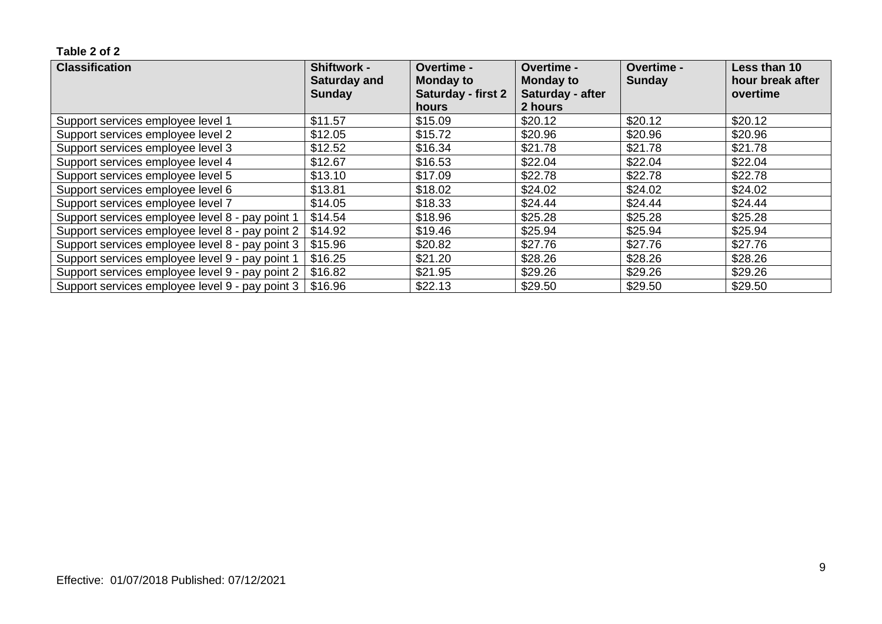| <b>Classification</b>                           | <b>Shiftwork -</b><br><b>Saturday and</b> | Overtime -<br><b>Monday to</b> | Overtime -<br><b>Monday to</b> | <b>Overtime -</b><br><b>Sunday</b> | Less than 10<br>hour break after |
|-------------------------------------------------|-------------------------------------------|--------------------------------|--------------------------------|------------------------------------|----------------------------------|
|                                                 | <b>Sunday</b>                             | Saturday - first 2             | Saturday - after               |                                    | overtime                         |
|                                                 |                                           | hours                          | 2 hours                        |                                    |                                  |
| Support services employee level 1               | \$11.57                                   | \$15.09                        | \$20.12                        | \$20.12                            | \$20.12                          |
| Support services employee level 2               | \$12.05                                   | \$15.72                        | \$20.96                        | \$20.96                            | \$20.96                          |
| Support services employee level 3               | \$12.52                                   | \$16.34                        | \$21.78                        | \$21.78                            | \$21.78                          |
| Support services employee level 4               | \$12.67                                   | \$16.53                        | \$22.04                        | \$22.04                            | \$22.04                          |
| Support services employee level 5               | \$13.10                                   | \$17.09                        | \$22.78                        | \$22.78                            | \$22.78                          |
| Support services employee level 6               | \$13.81                                   | \$18.02                        | \$24.02                        | \$24.02                            | \$24.02                          |
| Support services employee level 7               | \$14.05                                   | \$18.33                        | \$24.44                        | \$24.44                            | \$24.44                          |
| Support services employee level 8 - pay point 1 | \$14.54                                   | \$18.96                        | \$25.28                        | \$25.28                            | \$25.28                          |
| Support services employee level 8 - pay point 2 | \$14.92                                   | \$19.46                        | \$25.94                        | \$25.94                            | \$25.94                          |
| Support services employee level 8 - pay point 3 | \$15.96                                   | \$20.82                        | \$27.76                        | \$27.76                            | \$27.76                          |
| Support services employee level 9 - pay point 1 | \$16.25                                   | \$21.20                        | \$28.26                        | \$28.26                            | \$28.26                          |
| Support services employee level 9 - pay point 2 | \$16.82                                   | \$21.95                        | \$29.26                        | \$29.26                            | \$29.26                          |
| Support services employee level 9 - pay point 3 | \$16.96                                   | \$22.13                        | \$29.50                        | \$29.50                            | \$29.50                          |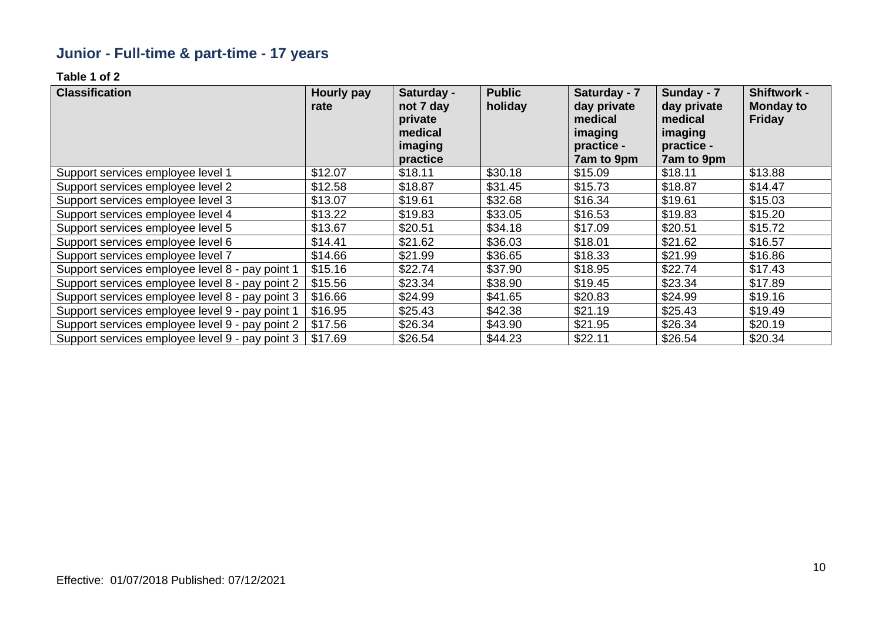# **Junior - Full-time & part-time - 17 years**

| <b>Classification</b>                           | Hourly pay<br>rate | Saturday -<br>not 7 day<br>private<br>medical<br>imaging<br>practice | <b>Public</b><br>holiday | Saturday - 7<br>day private<br>medical<br>imaging<br>practice -<br>7am to 9pm | Sunday - 7<br>day private<br>medical<br>imaging<br>practice -<br>7am to 9pm | <b>Shiftwork -</b><br><b>Monday to</b><br><b>Friday</b> |
|-------------------------------------------------|--------------------|----------------------------------------------------------------------|--------------------------|-------------------------------------------------------------------------------|-----------------------------------------------------------------------------|---------------------------------------------------------|
| Support services employee level 1               | \$12.07            | \$18.11                                                              | \$30.18                  | \$15.09                                                                       | \$18.11                                                                     | \$13.88                                                 |
| Support services employee level 2               | \$12.58            | \$18.87                                                              | \$31.45                  | \$15.73                                                                       | \$18.87                                                                     | \$14.47                                                 |
| Support services employee level 3               | \$13.07            | \$19.61                                                              | \$32.68                  | \$16.34                                                                       | \$19.61                                                                     | \$15.03                                                 |
| Support services employee level 4               | \$13.22            | \$19.83                                                              | \$33.05                  | \$16.53                                                                       | \$19.83                                                                     | \$15.20                                                 |
| Support services employee level 5               | \$13.67            | \$20.51                                                              | \$34.18                  | \$17.09                                                                       | \$20.51                                                                     | \$15.72                                                 |
| Support services employee level 6               | \$14.41            | \$21.62                                                              | \$36.03                  | \$18.01                                                                       | \$21.62                                                                     | \$16.57                                                 |
| Support services employee level 7               | \$14.66            | \$21.99                                                              | \$36.65                  | \$18.33                                                                       | \$21.99                                                                     | \$16.86                                                 |
| Support services employee level 8 - pay point 1 | \$15.16            | \$22.74                                                              | \$37.90                  | \$18.95                                                                       | \$22.74                                                                     | \$17.43                                                 |
| Support services employee level 8 - pay point 2 | \$15.56            | \$23.34                                                              | \$38.90                  | \$19.45                                                                       | \$23.34                                                                     | \$17.89                                                 |
| Support services employee level 8 - pay point 3 | \$16.66            | \$24.99                                                              | \$41.65                  | \$20.83                                                                       | \$24.99                                                                     | \$19.16                                                 |
| Support services employee level 9 - pay point 1 | \$16.95            | \$25.43                                                              | \$42.38                  | \$21.19                                                                       | \$25.43                                                                     | \$19.49                                                 |
| Support services employee level 9 - pay point 2 | \$17.56            | \$26.34                                                              | \$43.90                  | \$21.95                                                                       | \$26.34                                                                     | \$20.19                                                 |
| Support services employee level 9 - pay point 3 | \$17.69            | \$26.54                                                              | \$44.23                  | \$22.11                                                                       | \$26.54                                                                     | \$20.34                                                 |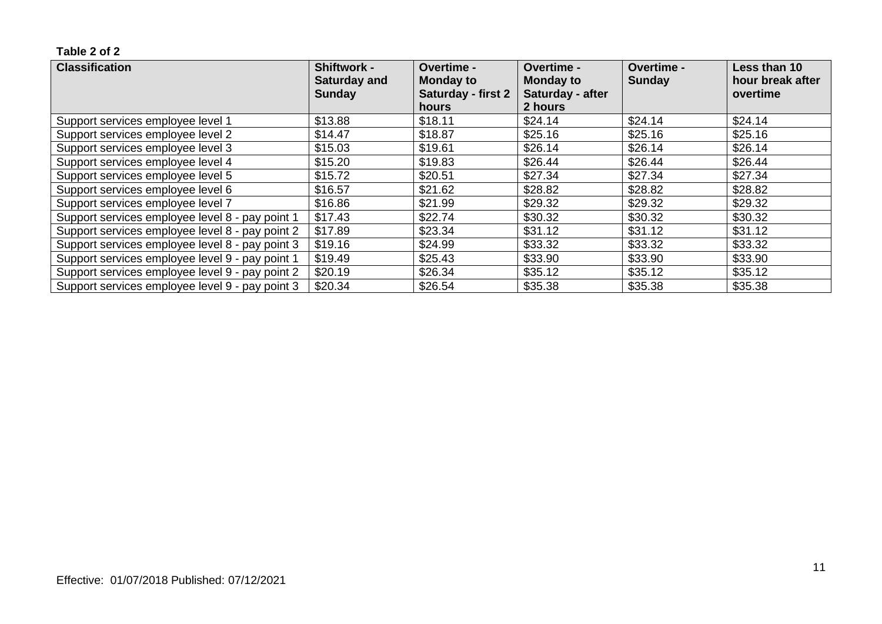| <b>Classification</b>                           | <b>Shiftwork -</b><br><b>Saturday and</b> | <b>Overtime -</b><br><b>Monday to</b> | Overtime -<br><b>Monday to</b> | Overtime -<br><b>Sunday</b> | Less than 10<br>hour break after |
|-------------------------------------------------|-------------------------------------------|---------------------------------------|--------------------------------|-----------------------------|----------------------------------|
|                                                 | <b>Sunday</b>                             | <b>Saturday - first 2</b>             | Saturday - after               |                             | overtime                         |
|                                                 |                                           | hours                                 | 2 hours                        |                             |                                  |
| Support services employee level 1               | \$13.88                                   | \$18.11                               | \$24.14                        | \$24.14                     | \$24.14                          |
| Support services employee level 2               | \$14.47                                   | \$18.87                               | \$25.16                        | \$25.16                     | \$25.16                          |
| Support services employee level 3               | \$15.03                                   | \$19.61                               | \$26.14                        | \$26.14                     | \$26.14                          |
| Support services employee level 4               | \$15.20                                   | \$19.83                               | \$26.44                        | \$26.44                     | \$26.44                          |
| Support services employee level 5               | \$15.72                                   | \$20.51                               | \$27.34                        | \$27.34                     | \$27.34                          |
| Support services employee level 6               | \$16.57                                   | \$21.62                               | \$28.82                        | \$28.82                     | \$28.82                          |
| Support services employee level 7               | \$16.86                                   | \$21.99                               | \$29.32                        | \$29.32                     | \$29.32                          |
| Support services employee level 8 - pay point 1 | \$17.43                                   | \$22.74                               | \$30.32                        | \$30.32                     | \$30.32                          |
| Support services employee level 8 - pay point 2 | \$17.89                                   | \$23.34                               | \$31.12                        | \$31.12                     | \$31.12                          |
| Support services employee level 8 - pay point 3 | \$19.16                                   | \$24.99                               | \$33.32                        | \$33.32                     | \$33.32                          |
| Support services employee level 9 - pay point 1 | \$19.49                                   | \$25.43                               | \$33.90                        | \$33.90                     | \$33.90                          |
| Support services employee level 9 - pay point 2 | \$20.19                                   | \$26.34                               | \$35.12                        | \$35.12                     | \$35.12                          |
| Support services employee level 9 - pay point 3 | \$20.34                                   | \$26.54                               | \$35.38                        | \$35.38                     | \$35.38                          |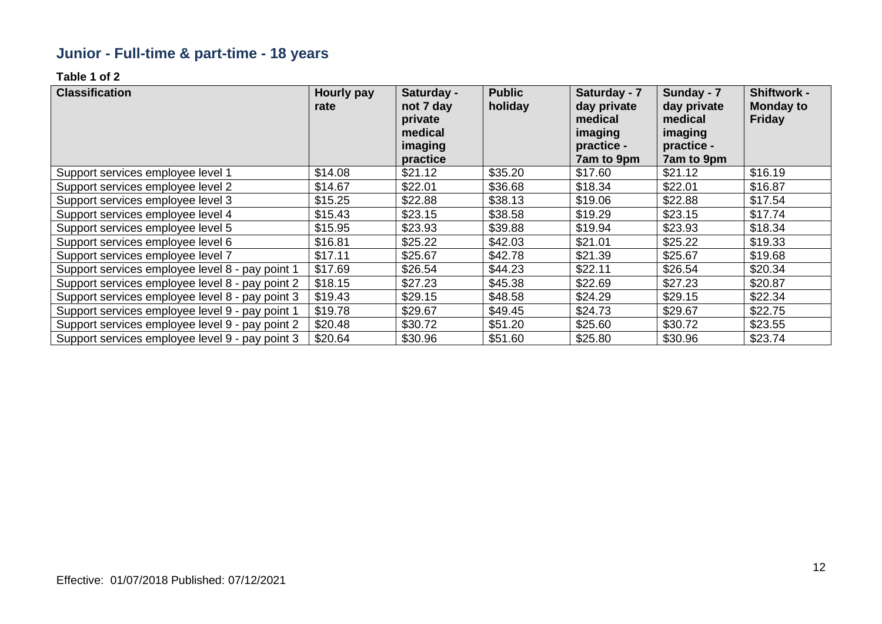# **Junior - Full-time & part-time - 18 years**

| <b>Classification</b>                           | Hourly pay<br>rate | Saturday -<br>not 7 day<br>private<br>medical<br>imaging<br>practice | <b>Public</b><br>holiday | Saturday - 7<br>day private<br>medical<br>imaging<br>practice -<br>7am to 9pm | Sunday - 7<br>day private<br>medical<br>imaging<br>practice -<br>7am to 9pm | <b>Shiftwork -</b><br><b>Monday to</b><br><b>Friday</b> |
|-------------------------------------------------|--------------------|----------------------------------------------------------------------|--------------------------|-------------------------------------------------------------------------------|-----------------------------------------------------------------------------|---------------------------------------------------------|
| Support services employee level 1               | \$14.08            | \$21.12                                                              | \$35.20                  | \$17.60                                                                       | \$21.12                                                                     | \$16.19                                                 |
| Support services employee level 2               | \$14.67            | \$22.01                                                              | \$36.68                  | \$18.34                                                                       | \$22.01                                                                     | \$16.87                                                 |
| Support services employee level 3               | \$15.25            | \$22.88                                                              | \$38.13                  | \$19.06                                                                       | \$22.88                                                                     | \$17.54                                                 |
| Support services employee level 4               | \$15.43            | \$23.15                                                              | \$38.58                  | \$19.29                                                                       | \$23.15                                                                     | \$17.74                                                 |
| Support services employee level 5               | \$15.95            | \$23.93                                                              | \$39.88                  | \$19.94                                                                       | \$23.93                                                                     | \$18.34                                                 |
| Support services employee level 6               | \$16.81            | \$25.22                                                              | \$42.03                  | \$21.01                                                                       | \$25.22                                                                     | \$19.33                                                 |
| Support services employee level 7               | \$17.11            | \$25.67                                                              | \$42.78                  | \$21.39                                                                       | \$25.67                                                                     | \$19.68                                                 |
| Support services employee level 8 - pay point 1 | \$17.69            | \$26.54                                                              | \$44.23                  | \$22.11                                                                       | \$26.54                                                                     | \$20.34                                                 |
| Support services employee level 8 - pay point 2 | \$18.15            | \$27.23                                                              | \$45.38                  | \$22.69                                                                       | \$27.23                                                                     | \$20.87                                                 |
| Support services employee level 8 - pay point 3 | \$19.43            | \$29.15                                                              | \$48.58                  | \$24.29                                                                       | \$29.15                                                                     | \$22.34                                                 |
| Support services employee level 9 - pay point 1 | \$19.78            | \$29.67                                                              | \$49.45                  | \$24.73                                                                       | \$29.67                                                                     | \$22.75                                                 |
| Support services employee level 9 - pay point 2 | \$20.48            | \$30.72                                                              | \$51.20                  | \$25.60                                                                       | \$30.72                                                                     | \$23.55                                                 |
| Support services employee level 9 - pay point 3 | \$20.64            | \$30.96                                                              | \$51.60                  | \$25.80                                                                       | \$30.96                                                                     | \$23.74                                                 |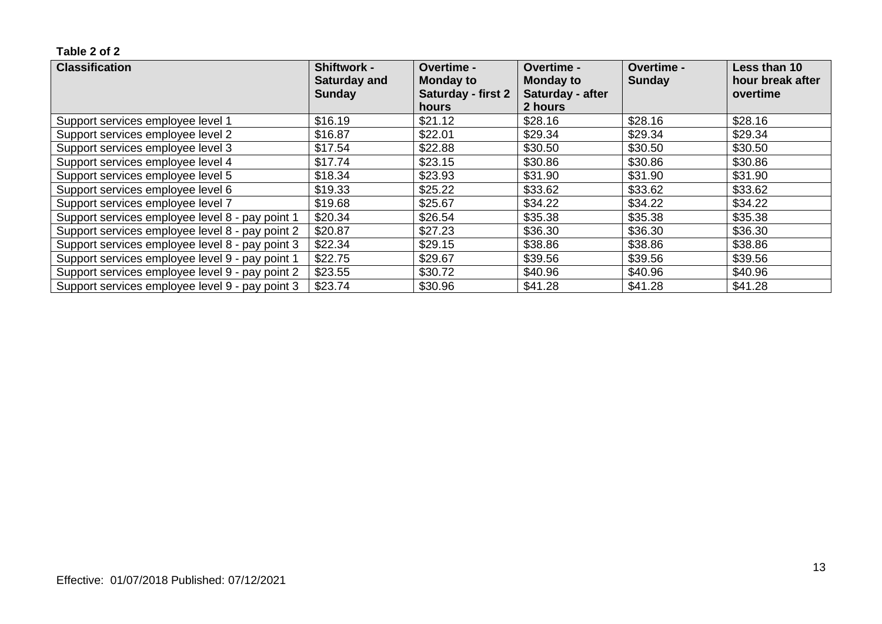| <b>Classification</b>                           | <b>Shiftwork -</b><br><b>Saturday and</b> | <b>Overtime -</b><br><b>Monday to</b> | Overtime -<br><b>Monday to</b> | Overtime -<br><b>Sunday</b> | Less than 10<br>hour break after |
|-------------------------------------------------|-------------------------------------------|---------------------------------------|--------------------------------|-----------------------------|----------------------------------|
|                                                 | <b>Sunday</b>                             | <b>Saturday - first 2</b>             | Saturday - after               |                             | overtime                         |
|                                                 |                                           | hours                                 | 2 hours                        |                             |                                  |
| Support services employee level 1               | \$16.19                                   | \$21.12                               | \$28.16                        | \$28.16                     | \$28.16                          |
| Support services employee level 2               | \$16.87                                   | \$22.01                               | \$29.34                        | \$29.34                     | \$29.34                          |
| Support services employee level 3               | \$17.54                                   | \$22.88                               | \$30.50                        | \$30.50                     | \$30.50                          |
| Support services employee level 4               | \$17.74                                   | \$23.15                               | \$30.86                        | \$30.86                     | \$30.86                          |
| Support services employee level 5               | \$18.34                                   | \$23.93                               | \$31.90                        | \$31.90                     | \$31.90                          |
| Support services employee level 6               | \$19.33                                   | \$25.22                               | \$33.62                        | \$33.62                     | \$33.62                          |
| Support services employee level 7               | \$19.68                                   | \$25.67                               | \$34.22                        | \$34.22                     | \$34.22                          |
| Support services employee level 8 - pay point 1 | \$20.34                                   | \$26.54                               | \$35.38                        | \$35.38                     | \$35.38                          |
| Support services employee level 8 - pay point 2 | \$20.87                                   | \$27.23                               | \$36.30                        | \$36.30                     | \$36.30                          |
| Support services employee level 8 - pay point 3 | \$22.34                                   | \$29.15                               | \$38.86                        | \$38.86                     | \$38.86                          |
| Support services employee level 9 - pay point 1 | \$22.75                                   | \$29.67                               | \$39.56                        | \$39.56                     | \$39.56                          |
| Support services employee level 9 - pay point 2 | \$23.55                                   | \$30.72                               | \$40.96                        | \$40.96                     | \$40.96                          |
| Support services employee level 9 - pay point 3 | \$23.74                                   | \$30.96                               | \$41.28                        | \$41.28                     | \$41.28                          |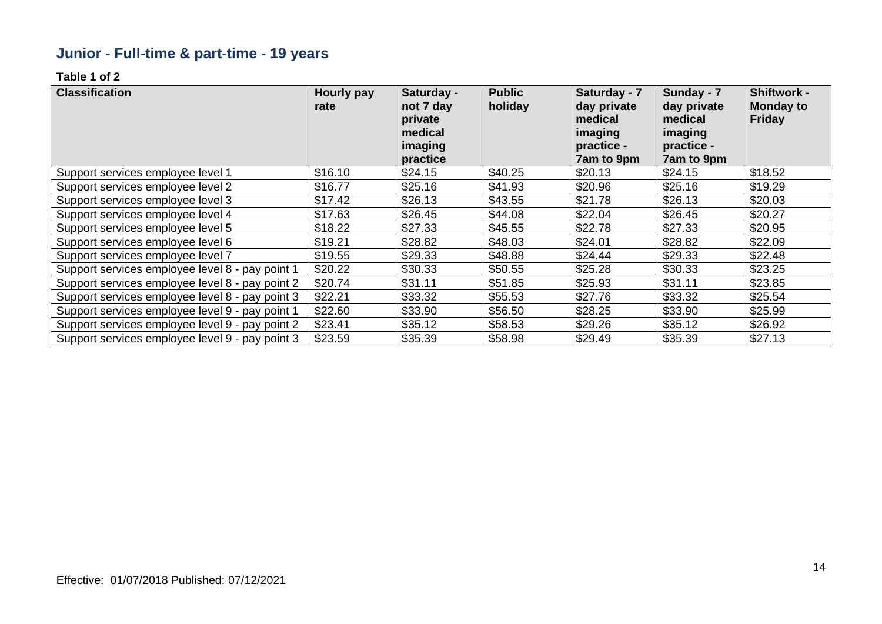# **Junior - Full-time & part-time - 19 years**

| <b>Classification</b>                           | Hourly pay<br>rate | Saturday -<br>not 7 day<br>private<br>medical<br>imaging<br>practice | <b>Public</b><br>holiday | Saturday - 7<br>day private<br>medical<br>imaging<br>practice -<br>7am to 9pm | Sunday - 7<br>day private<br>medical<br>imaging<br>practice -<br>7am to 9pm | <b>Shiftwork -</b><br><b>Monday to</b><br><b>Friday</b> |
|-------------------------------------------------|--------------------|----------------------------------------------------------------------|--------------------------|-------------------------------------------------------------------------------|-----------------------------------------------------------------------------|---------------------------------------------------------|
| Support services employee level 1               | \$16.10            | \$24.15                                                              | \$40.25                  | \$20.13                                                                       | \$24.15                                                                     | \$18.52                                                 |
| Support services employee level 2               | \$16.77            | \$25.16                                                              | \$41.93                  | \$20.96                                                                       | \$25.16                                                                     | \$19.29                                                 |
| Support services employee level 3               | \$17.42            | \$26.13                                                              | \$43.55                  | \$21.78                                                                       | \$26.13                                                                     | \$20.03                                                 |
| Support services employee level 4               | \$17.63            | \$26.45                                                              | \$44.08                  | \$22.04                                                                       | \$26.45                                                                     | \$20.27                                                 |
| Support services employee level 5               | \$18.22            | \$27.33                                                              | \$45.55                  | \$22.78                                                                       | \$27.33                                                                     | \$20.95                                                 |
| Support services employee level 6               | \$19.21            | \$28.82                                                              | \$48.03                  | \$24.01                                                                       | \$28.82                                                                     | \$22.09                                                 |
| Support services employee level 7               | \$19.55            | \$29.33                                                              | \$48.88                  | \$24.44                                                                       | \$29.33                                                                     | \$22.48                                                 |
| Support services employee level 8 - pay point 1 | \$20.22            | \$30.33                                                              | \$50.55                  | \$25.28                                                                       | \$30.33                                                                     | \$23.25                                                 |
| Support services employee level 8 - pay point 2 | \$20.74            | \$31.11                                                              | \$51.85                  | \$25.93                                                                       | \$31.11                                                                     | \$23.85                                                 |
| Support services employee level 8 - pay point 3 | \$22.21            | \$33.32                                                              | \$55.53                  | \$27.76                                                                       | \$33.32                                                                     | \$25.54                                                 |
| Support services employee level 9 - pay point 1 | \$22.60            | \$33.90                                                              | \$56.50                  | \$28.25                                                                       | \$33.90                                                                     | \$25.99                                                 |
| Support services employee level 9 - pay point 2 | \$23.41            | \$35.12                                                              | \$58.53                  | \$29.26                                                                       | \$35.12                                                                     | \$26.92                                                 |
| Support services employee level 9 - pay point 3 | \$23.59            | \$35.39                                                              | \$58.98                  | \$29.49                                                                       | \$35.39                                                                     | \$27.13                                                 |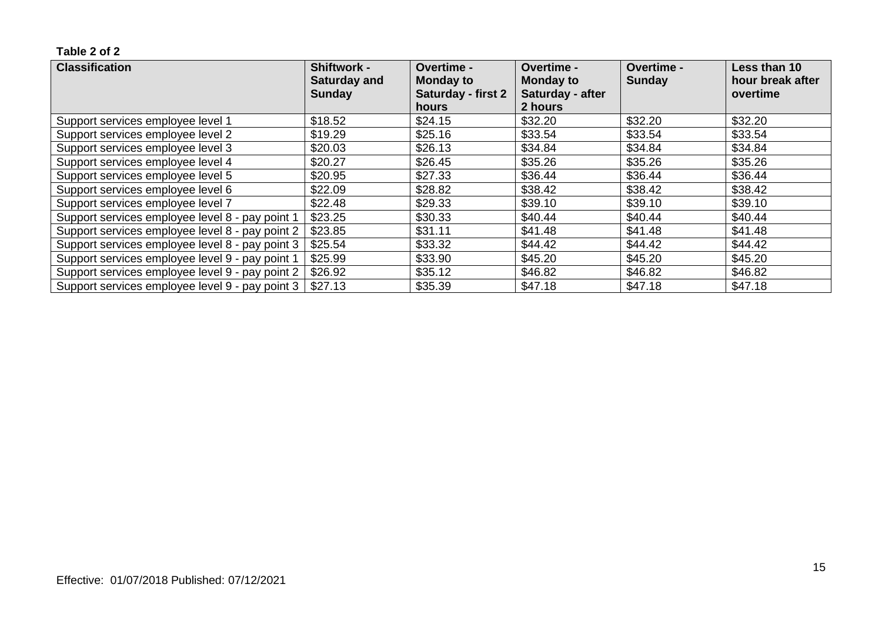| <b>Classification</b>                           | <b>Shiftwork -</b><br><b>Saturday and</b> | Overtime -<br><b>Monday to</b>     | <b>Overtime -</b><br><b>Monday to</b> | Overtime -<br><b>Sunday</b> | Less than 10<br>hour break after |
|-------------------------------------------------|-------------------------------------------|------------------------------------|---------------------------------------|-----------------------------|----------------------------------|
|                                                 | Sunday                                    | <b>Saturday - first 2</b><br>hours | Saturday - after<br>2 hours           |                             | overtime                         |
| Support services employee level 1               | \$18.52                                   | \$24.15                            | \$32.20                               | \$32.20                     | \$32.20                          |
| Support services employee level 2               | \$19.29                                   | \$25.16                            | \$33.54                               | \$33.54                     | \$33.54                          |
| Support services employee level 3               | \$20.03                                   | \$26.13                            | \$34.84                               | \$34.84                     | \$34.84                          |
| Support services employee level 4               | \$20.27                                   | \$26.45                            | \$35.26                               | \$35.26                     | \$35.26                          |
| Support services employee level 5               | \$20.95                                   | \$27.33                            | \$36.44                               | \$36.44                     | \$36.44                          |
| Support services employee level 6               | \$22.09                                   | \$28.82                            | \$38.42                               | \$38.42                     | \$38.42                          |
| Support services employee level 7               | \$22.48                                   | \$29.33                            | \$39.10                               | \$39.10                     | \$39.10                          |
| Support services employee level 8 - pay point 1 | \$23.25                                   | \$30.33                            | \$40.44                               | \$40.44                     | \$40.44                          |
| Support services employee level 8 - pay point 2 | \$23.85                                   | \$31.11                            | \$41.48                               | \$41.48                     | \$41.48                          |
| Support services employee level 8 - pay point 3 | \$25.54                                   | \$33.32                            | \$44.42                               | \$44.42                     | \$44.42                          |
| Support services employee level 9 - pay point 1 | \$25.99                                   | \$33.90                            | \$45.20                               | \$45.20                     | \$45.20                          |
| Support services employee level 9 - pay point 2 | \$26.92                                   | \$35.12                            | \$46.82                               | \$46.82                     | \$46.82                          |
| Support services employee level 9 - pay point 3 | \$27.13                                   | \$35.39                            | \$47.18                               | \$47.18                     | \$47.18                          |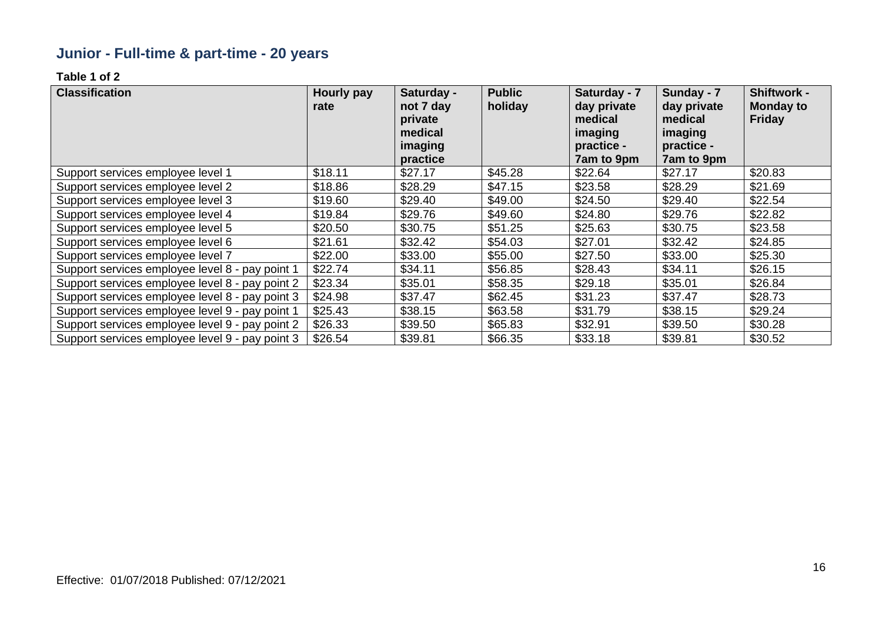# **Junior - Full-time & part-time - 20 years**

| <b>Classification</b>                           | Hourly pay<br>rate | Saturday -<br>not 7 day<br>private<br>medical<br>imaging<br>practice | <b>Public</b><br>holiday | Saturday - 7<br>day private<br>medical<br>imaging<br>practice -<br>7am to 9pm | Sunday - 7<br>day private<br>medical<br>imaging<br>practice -<br>7am to 9pm | <b>Shiftwork -</b><br><b>Monday to</b><br><b>Friday</b> |
|-------------------------------------------------|--------------------|----------------------------------------------------------------------|--------------------------|-------------------------------------------------------------------------------|-----------------------------------------------------------------------------|---------------------------------------------------------|
| Support services employee level 1               | \$18.11            | \$27.17                                                              | \$45.28                  | \$22.64                                                                       | \$27.17                                                                     | \$20.83                                                 |
| Support services employee level 2               | \$18.86            | \$28.29                                                              | \$47.15                  | \$23.58                                                                       | \$28.29                                                                     | \$21.69                                                 |
| Support services employee level 3               | \$19.60            | \$29.40                                                              | \$49.00                  | \$24.50                                                                       | \$29.40                                                                     | \$22.54                                                 |
| Support services employee level 4               | \$19.84            | \$29.76                                                              | \$49.60                  | \$24.80                                                                       | \$29.76                                                                     | \$22.82                                                 |
| Support services employee level 5               | \$20.50            | \$30.75                                                              | \$51.25                  | \$25.63                                                                       | \$30.75                                                                     | \$23.58                                                 |
| Support services employee level 6               | \$21.61            | \$32.42                                                              | \$54.03                  | \$27.01                                                                       | \$32.42                                                                     | \$24.85                                                 |
| Support services employee level 7               | \$22.00            | \$33.00                                                              | \$55.00                  | \$27.50                                                                       | \$33.00                                                                     | \$25.30                                                 |
| Support services employee level 8 - pay point 1 | \$22.74            | \$34.11                                                              | \$56.85                  | \$28.43                                                                       | \$34.11                                                                     | \$26.15                                                 |
| Support services employee level 8 - pay point 2 | \$23.34            | \$35.01                                                              | \$58.35                  | \$29.18                                                                       | \$35.01                                                                     | \$26.84                                                 |
| Support services employee level 8 - pay point 3 | \$24.98            | \$37.47                                                              | \$62.45                  | \$31.23                                                                       | \$37.47                                                                     | \$28.73                                                 |
| Support services employee level 9 - pay point 1 | \$25.43            | \$38.15                                                              | \$63.58                  | \$31.79                                                                       | \$38.15                                                                     | \$29.24                                                 |
| Support services employee level 9 - pay point 2 | \$26.33            | \$39.50                                                              | \$65.83                  | \$32.91                                                                       | \$39.50                                                                     | \$30.28                                                 |
| Support services employee level 9 - pay point 3 | \$26.54            | \$39.81                                                              | \$66.35                  | \$33.18                                                                       | \$39.81                                                                     | \$30.52                                                 |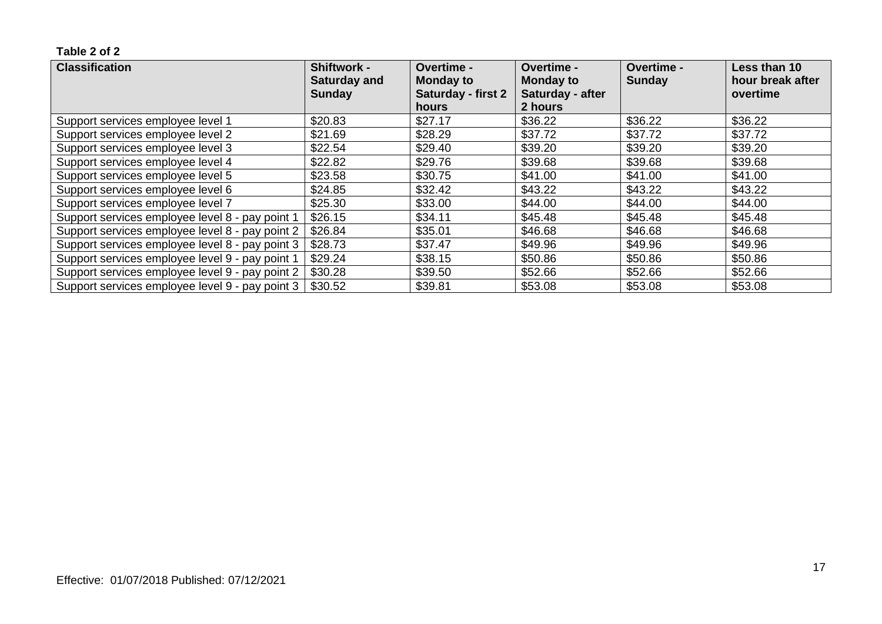| <b>Classification</b>                           | <b>Shiftwork -</b><br><b>Saturday and</b> | Overtime -<br><b>Monday to</b> | Overtime -<br><b>Monday to</b> | <b>Overtime -</b><br><b>Sunday</b> | Less than 10<br>hour break after |
|-------------------------------------------------|-------------------------------------------|--------------------------------|--------------------------------|------------------------------------|----------------------------------|
|                                                 | <b>Sunday</b>                             | Saturday - first 2             | Saturday - after               |                                    | overtime                         |
|                                                 |                                           | hours                          | 2 hours                        |                                    |                                  |
| Support services employee level 1               | \$20.83                                   | \$27.17                        | \$36.22                        | \$36.22                            | \$36.22                          |
| Support services employee level 2               | \$21.69                                   | \$28.29                        | \$37.72                        | \$37.72                            | \$37.72                          |
| Support services employee level 3               | \$22.54                                   | \$29.40                        | \$39.20                        | \$39.20                            | \$39.20                          |
| Support services employee level 4               | \$22.82                                   | \$29.76                        | \$39.68                        | \$39.68                            | \$39.68                          |
| Support services employee level 5               | \$23.58                                   | \$30.75                        | \$41.00                        | \$41.00                            | \$41.00                          |
| Support services employee level 6               | \$24.85                                   | \$32.42                        | \$43.22                        | \$43.22                            | \$43.22                          |
| Support services employee level 7               | \$25.30                                   | \$33.00                        | \$44.00                        | \$44.00                            | \$44.00                          |
| Support services employee level 8 - pay point 1 | \$26.15                                   | \$34.11                        | \$45.48                        | \$45.48                            | \$45.48                          |
| Support services employee level 8 - pay point 2 | \$26.84                                   | \$35.01                        | \$46.68                        | \$46.68                            | \$46.68                          |
| Support services employee level 8 - pay point 3 | \$28.73                                   | \$37.47                        | \$49.96                        | \$49.96                            | \$49.96                          |
| Support services employee level 9 - pay point 1 | \$29.24                                   | \$38.15                        | \$50.86                        | \$50.86                            | \$50.86                          |
| Support services employee level 9 - pay point 2 | \$30.28                                   | \$39.50                        | \$52.66                        | \$52.66                            | \$52.66                          |
| Support services employee level 9 - pay point 3 | \$30.52                                   | \$39.81                        | \$53.08                        | \$53.08                            | \$53.08                          |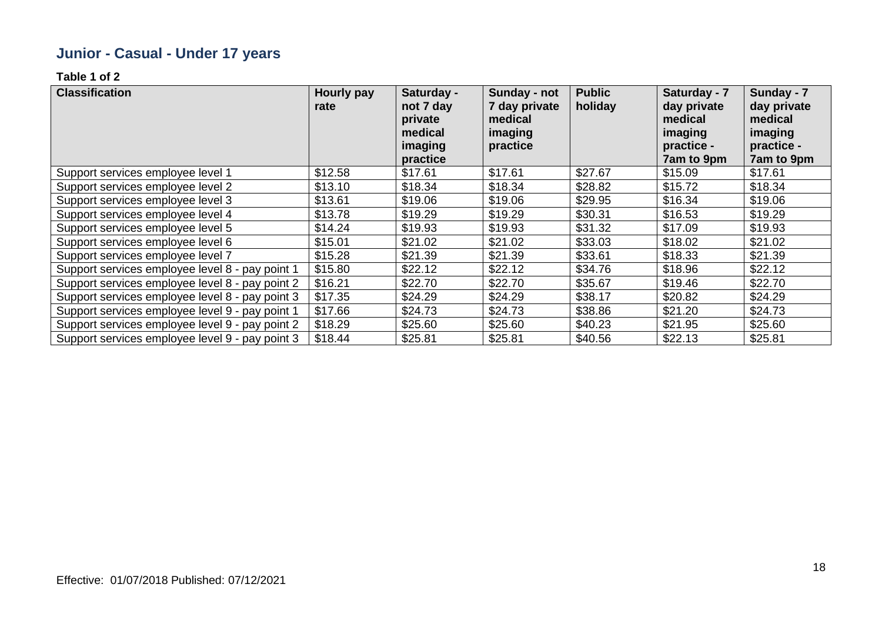# **Junior - Casual - Under 17 years**

| <b>Classification</b>                           | Hourly pay<br>rate | Saturday -<br>not 7 day<br>private<br>medical<br>imaging<br>practice | Sunday - not<br>7 day private<br>medical<br>imaging<br>practice | <b>Public</b><br>holiday | Saturday - 7<br>day private<br>medical<br>imaging<br>practice -<br>7am to 9pm | Sunday - 7<br>day private<br>medical<br>imaging<br>practice -<br>7am to 9pm |
|-------------------------------------------------|--------------------|----------------------------------------------------------------------|-----------------------------------------------------------------|--------------------------|-------------------------------------------------------------------------------|-----------------------------------------------------------------------------|
| Support services employee level 1               | \$12.58            | \$17.61                                                              | \$17.61                                                         | \$27.67                  | \$15.09                                                                       | \$17.61                                                                     |
| Support services employee level 2               | \$13.10            | \$18.34                                                              | \$18.34                                                         | \$28.82                  | \$15.72                                                                       | \$18.34                                                                     |
| Support services employee level 3               | \$13.61            | \$19.06                                                              | \$19.06                                                         | \$29.95                  | \$16.34                                                                       | \$19.06                                                                     |
| Support services employee level 4               | \$13.78            | \$19.29                                                              | \$19.29                                                         | \$30.31                  | \$16.53                                                                       | \$19.29                                                                     |
| Support services employee level 5               | \$14.24            | \$19.93                                                              | \$19.93                                                         | \$31.32                  | \$17.09                                                                       | \$19.93                                                                     |
| Support services employee level 6               | \$15.01            | \$21.02                                                              | \$21.02                                                         | \$33.03                  | \$18.02                                                                       | \$21.02                                                                     |
| Support services employee level 7               | \$15.28            | \$21.39                                                              | \$21.39                                                         | \$33.61                  | \$18.33                                                                       | \$21.39                                                                     |
| Support services employee level 8 - pay point 1 | \$15.80            | \$22.12                                                              | \$22.12                                                         | \$34.76                  | \$18.96                                                                       | \$22.12                                                                     |
| Support services employee level 8 - pay point 2 | \$16.21            | \$22.70                                                              | \$22.70                                                         | \$35.67                  | \$19.46                                                                       | \$22.70                                                                     |
| Support services employee level 8 - pay point 3 | \$17.35            | \$24.29                                                              | \$24.29                                                         | \$38.17                  | \$20.82                                                                       | \$24.29                                                                     |
| Support services employee level 9 - pay point 1 | \$17.66            | \$24.73                                                              | \$24.73                                                         | \$38.86                  | \$21.20                                                                       | \$24.73                                                                     |
| Support services employee level 9 - pay point 2 | \$18.29            | \$25.60                                                              | \$25.60                                                         | \$40.23                  | \$21.95                                                                       | \$25.60                                                                     |
| Support services employee level 9 - pay point 3 | \$18.44            | \$25.81                                                              | \$25.81                                                         | \$40.56                  | \$22.13                                                                       | \$25.81                                                                     |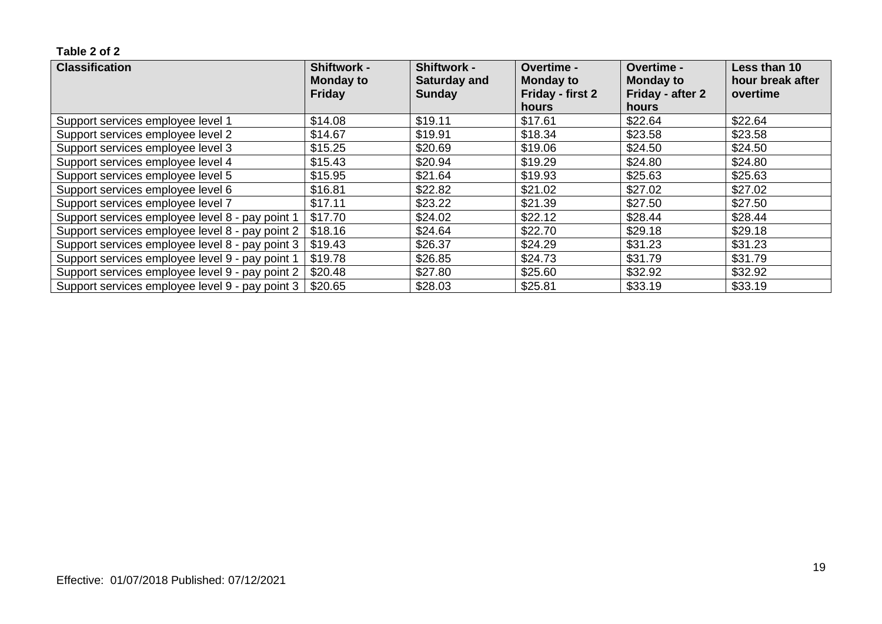| <b>Classification</b>                           | <b>Shiftwork -</b>                | <b>Shiftwork -</b>                   | <b>Overtime -</b>                           | <b>Overtime -</b>                    | Less than 10                 |
|-------------------------------------------------|-----------------------------------|--------------------------------------|---------------------------------------------|--------------------------------------|------------------------------|
|                                                 | <b>Monday to</b><br><b>Friday</b> | <b>Saturday and</b><br><b>Sunday</b> | <b>Monday to</b><br><b>Friday - first 2</b> | <b>Monday to</b><br>Friday - after 2 | hour break after<br>overtime |
|                                                 |                                   |                                      | hours                                       | hours                                |                              |
| Support services employee level 1               | \$14.08                           | \$19.11                              | \$17.61                                     | \$22.64                              | \$22.64                      |
| Support services employee level 2               | \$14.67                           | \$19.91                              | \$18.34                                     | \$23.58                              | \$23.58                      |
| Support services employee level 3               | \$15.25                           | \$20.69                              | \$19.06                                     | \$24.50                              | \$24.50                      |
| Support services employee level 4               | \$15.43                           | \$20.94                              | \$19.29                                     | \$24.80                              | \$24.80                      |
| Support services employee level 5               | \$15.95                           | \$21.64                              | \$19.93                                     | \$25.63                              | \$25.63                      |
| Support services employee level 6               | \$16.81                           | \$22.82                              | \$21.02                                     | \$27.02                              | \$27.02                      |
| Support services employee level 7               | \$17.11                           | \$23.22                              | \$21.39                                     | \$27.50                              | \$27.50                      |
| Support services employee level 8 - pay point 1 | \$17.70                           | \$24.02                              | \$22.12                                     | \$28.44                              | \$28.44                      |
| Support services employee level 8 - pay point 2 | \$18.16                           | \$24.64                              | \$22.70                                     | \$29.18                              | \$29.18                      |
| Support services employee level 8 - pay point 3 | \$19.43                           | \$26.37                              | \$24.29                                     | \$31.23                              | \$31.23                      |
| Support services employee level 9 - pay point 1 | \$19.78                           | \$26.85                              | \$24.73                                     | \$31.79                              | \$31.79                      |
| Support services employee level 9 - pay point 2 | \$20.48                           | \$27.80                              | \$25.60                                     | \$32.92                              | \$32.92                      |
| Support services employee level 9 - pay point 3 | \$20.65                           | \$28.03                              | \$25.81                                     | \$33.19                              | \$33.19                      |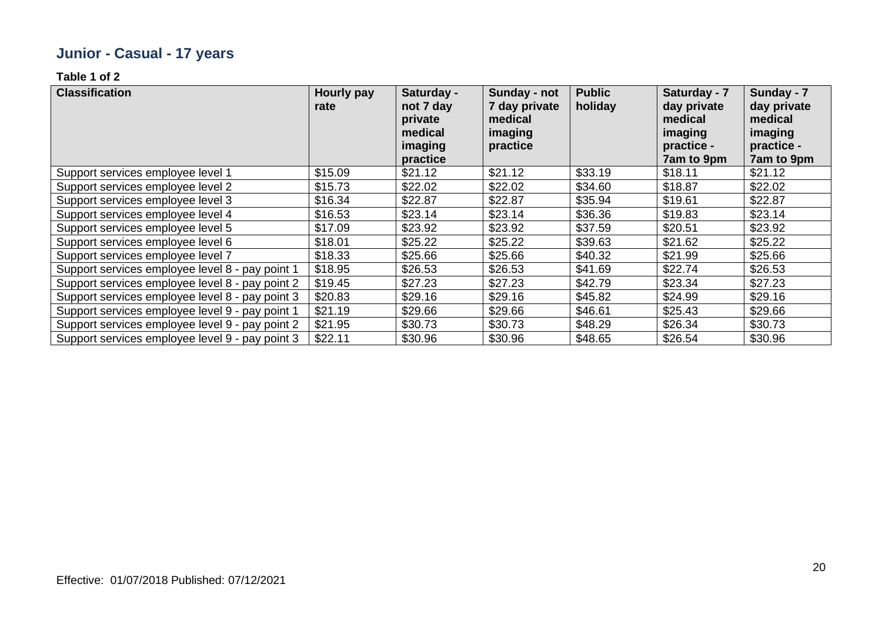# **Junior - Casual - 17 years**

| <b>Classification</b>                           | Hourly pay<br>rate | Saturday -<br>not 7 day<br>private<br>medical<br>imaging<br>practice | Sunday - not<br>7 day private<br>medical<br>imaging<br>practice | <b>Public</b><br>holiday | Saturday - 7<br>day private<br>medical<br>imaging<br>practice -<br>7am to 9pm | Sunday - 7<br>day private<br>medical<br>imaging<br>practice -<br>7am to 9pm |
|-------------------------------------------------|--------------------|----------------------------------------------------------------------|-----------------------------------------------------------------|--------------------------|-------------------------------------------------------------------------------|-----------------------------------------------------------------------------|
| Support services employee level 1               | \$15.09            | \$21.12                                                              | \$21.12                                                         | \$33.19                  | \$18.11                                                                       | \$21.12                                                                     |
| Support services employee level 2               | \$15.73            | \$22.02                                                              | \$22.02                                                         | \$34.60                  | \$18.87                                                                       | \$22.02                                                                     |
| Support services employee level 3               | \$16.34            | \$22.87                                                              | \$22.87                                                         | \$35.94                  | \$19.61                                                                       | \$22.87                                                                     |
| Support services employee level 4               | \$16.53            | \$23.14                                                              | \$23.14                                                         | \$36.36                  | \$19.83                                                                       | \$23.14                                                                     |
| Support services employee level 5               | \$17.09            | \$23.92                                                              | \$23.92                                                         | \$37.59                  | \$20.51                                                                       | \$23.92                                                                     |
| Support services employee level 6               | \$18.01            | \$25.22                                                              | \$25.22                                                         | \$39.63                  | \$21.62                                                                       | \$25.22                                                                     |
| Support services employee level 7               | \$18.33            | \$25.66                                                              | \$25.66                                                         | \$40.32                  | \$21.99                                                                       | \$25.66                                                                     |
| Support services employee level 8 - pay point 1 | \$18.95            | \$26.53                                                              | \$26.53                                                         | \$41.69                  | \$22.74                                                                       | \$26.53                                                                     |
| Support services employee level 8 - pay point 2 | \$19.45            | \$27.23                                                              | \$27.23                                                         | \$42.79                  | \$23.34                                                                       | \$27.23                                                                     |
| Support services employee level 8 - pay point 3 | \$20.83            | \$29.16                                                              | \$29.16                                                         | \$45.82                  | \$24.99                                                                       | \$29.16                                                                     |
| Support services employee level 9 - pay point 1 | \$21.19            | \$29.66                                                              | \$29.66                                                         | \$46.61                  | \$25.43                                                                       | \$29.66                                                                     |
| Support services employee level 9 - pay point 2 | \$21.95            | \$30.73                                                              | \$30.73                                                         | \$48.29                  | \$26.34                                                                       | \$30.73                                                                     |
| Support services employee level 9 - pay point 3 | \$22.11            | \$30.96                                                              | \$30.96                                                         | \$48.65                  | \$26.54                                                                       | \$30.96                                                                     |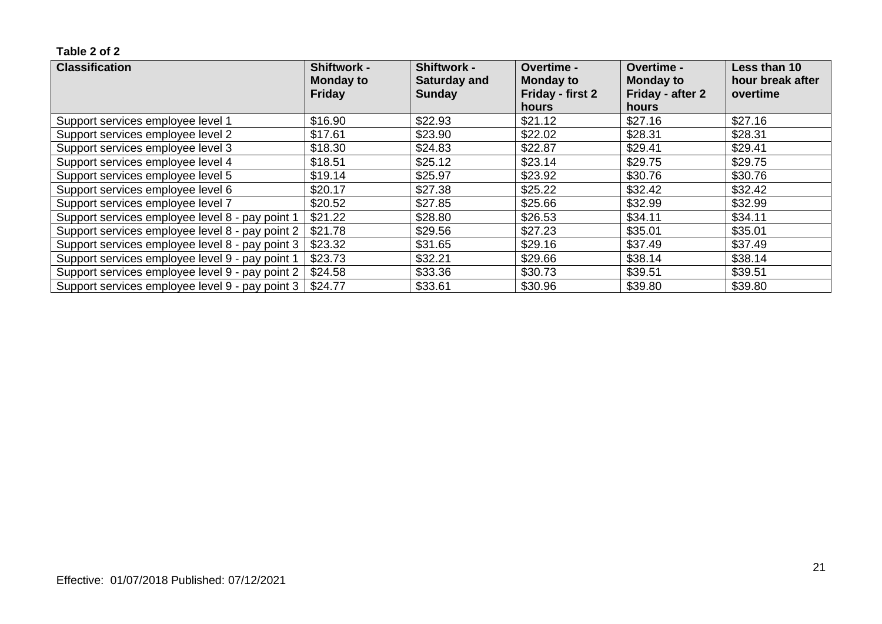| <b>Classification</b>                           | Shiftwork -<br><b>Monday to</b> | <b>Shiftwork -</b><br><b>Saturday and</b> | <b>Overtime -</b><br><b>Monday to</b> | <b>Overtime -</b><br><b>Monday to</b> | Less than 10<br>hour break after |
|-------------------------------------------------|---------------------------------|-------------------------------------------|---------------------------------------|---------------------------------------|----------------------------------|
|                                                 | <b>Friday</b>                   | <b>Sunday</b>                             | Friday - first 2                      | Friday - after 2                      | overtime                         |
|                                                 |                                 |                                           | hours                                 | hours                                 |                                  |
| Support services employee level 1               | \$16.90                         | \$22.93                                   | \$21.12                               | \$27.16                               | \$27.16                          |
| Support services employee level 2               | \$17.61                         | \$23.90                                   | \$22.02                               | \$28.31                               | \$28.31                          |
| Support services employee level 3               | \$18.30                         | \$24.83                                   | \$22.87                               | \$29.41                               | \$29.41                          |
| Support services employee level 4               | \$18.51                         | \$25.12                                   | \$23.14                               | \$29.75                               | \$29.75                          |
| Support services employee level 5               | \$19.14                         | \$25.97                                   | \$23.92                               | \$30.76                               | \$30.76                          |
| Support services employee level 6               | \$20.17                         | \$27.38                                   | \$25.22                               | \$32.42                               | \$32.42                          |
| Support services employee level 7               | \$20.52                         | \$27.85                                   | \$25.66                               | \$32.99                               | \$32.99                          |
| Support services employee level 8 - pay point 1 | \$21.22                         | \$28.80                                   | \$26.53                               | \$34.11                               | \$34.11                          |
| Support services employee level 8 - pay point 2 | \$21.78                         | \$29.56                                   | \$27.23                               | \$35.01                               | \$35.01                          |
| Support services employee level 8 - pay point 3 | \$23.32                         | \$31.65                                   | \$29.16                               | \$37.49                               | \$37.49                          |
| Support services employee level 9 - pay point 1 | \$23.73                         | \$32.21                                   | \$29.66                               | \$38.14                               | \$38.14                          |
| Support services employee level 9 - pay point 2 | \$24.58                         | \$33.36                                   | \$30.73                               | \$39.51                               | \$39.51                          |
| Support services employee level 9 - pay point 3 | \$24.77                         | \$33.61                                   | \$30.96                               | \$39.80                               | \$39.80                          |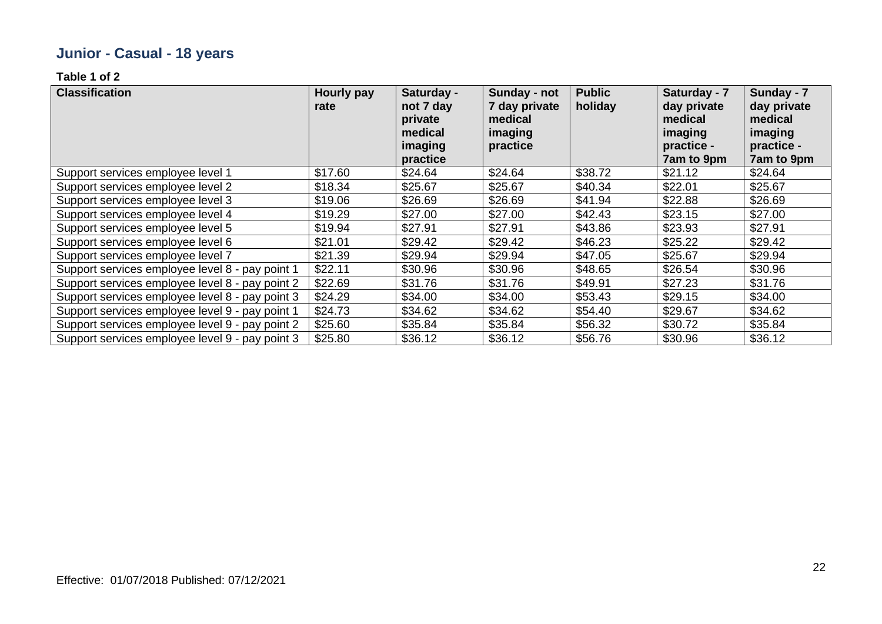# **Junior - Casual - 18 years**

| <b>Classification</b>                           | Hourly pay<br>rate | Saturday -<br>not 7 day<br>private<br>medical<br>imaging<br>practice | Sunday - not<br>7 day private<br>medical<br>imaging<br>practice | <b>Public</b><br>holiday | Saturday - 7<br>day private<br>medical<br>imaging<br>practice -<br>7am to 9pm | Sunday - 7<br>day private<br>medical<br>imaging<br>practice -<br>7am to 9pm |
|-------------------------------------------------|--------------------|----------------------------------------------------------------------|-----------------------------------------------------------------|--------------------------|-------------------------------------------------------------------------------|-----------------------------------------------------------------------------|
| Support services employee level 1               | \$17.60            | \$24.64                                                              | \$24.64                                                         | \$38.72                  | \$21.12                                                                       | \$24.64                                                                     |
| Support services employee level 2               | \$18.34            | \$25.67                                                              | \$25.67                                                         | \$40.34                  | \$22.01                                                                       | \$25.67                                                                     |
| Support services employee level 3               | \$19.06            | \$26.69                                                              | \$26.69                                                         | \$41.94                  | \$22.88                                                                       | \$26.69                                                                     |
| Support services employee level 4               | \$19.29            | \$27.00                                                              | \$27.00                                                         | \$42.43                  | \$23.15                                                                       | \$27.00                                                                     |
| Support services employee level 5               | \$19.94            | \$27.91                                                              | \$27.91                                                         | \$43.86                  | \$23.93                                                                       | \$27.91                                                                     |
| Support services employee level 6               | \$21.01            | \$29.42                                                              | \$29.42                                                         | \$46.23                  | \$25.22                                                                       | \$29.42                                                                     |
| Support services employee level 7               | \$21.39            | \$29.94                                                              | \$29.94                                                         | \$47.05                  | \$25.67                                                                       | \$29.94                                                                     |
| Support services employee level 8 - pay point 1 | \$22.11            | \$30.96                                                              | \$30.96                                                         | \$48.65                  | \$26.54                                                                       | \$30.96                                                                     |
| Support services employee level 8 - pay point 2 | \$22.69            | \$31.76                                                              | \$31.76                                                         | \$49.91                  | \$27.23                                                                       | \$31.76                                                                     |
| Support services employee level 8 - pay point 3 | \$24.29            | \$34.00                                                              | \$34.00                                                         | \$53.43                  | \$29.15                                                                       | \$34.00                                                                     |
| Support services employee level 9 - pay point 1 | \$24.73            | \$34.62                                                              | \$34.62                                                         | \$54.40                  | \$29.67                                                                       | \$34.62                                                                     |
| Support services employee level 9 - pay point 2 | \$25.60            | \$35.84                                                              | \$35.84                                                         | \$56.32                  | \$30.72                                                                       | \$35.84                                                                     |
| Support services employee level 9 - pay point 3 | \$25.80            | \$36.12                                                              | \$36.12                                                         | \$56.76                  | \$30.96                                                                       | \$36.12                                                                     |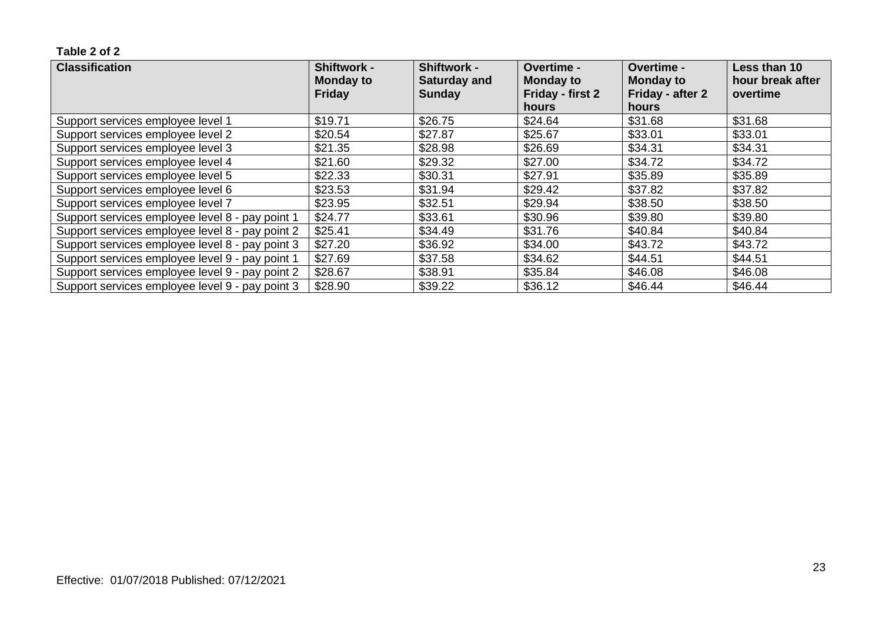| <b>Classification</b>                           | Shiftwork -<br><b>Monday to</b> | <b>Shiftwork -</b><br><b>Saturday and</b> | Overtime -<br><b>Monday to</b> | <b>Overtime -</b><br><b>Monday to</b> | Less than 10<br>hour break after |
|-------------------------------------------------|---------------------------------|-------------------------------------------|--------------------------------|---------------------------------------|----------------------------------|
|                                                 | <b>Friday</b>                   | <b>Sunday</b>                             | Friday - first 2               | Friday - after 2                      | overtime                         |
|                                                 |                                 |                                           | <b>hours</b>                   | <b>hours</b>                          |                                  |
| Support services employee level 1               | \$19.71                         | \$26.75                                   | \$24.64                        | \$31.68                               | \$31.68                          |
| Support services employee level 2               | \$20.54                         | \$27.87                                   | \$25.67                        | \$33.01                               | \$33.01                          |
| Support services employee level 3               | \$21.35                         | \$28.98                                   | \$26.69                        | \$34.31                               | \$34.31                          |
| Support services employee level 4               | \$21.60                         | \$29.32                                   | \$27.00                        | \$34.72                               | \$34.72                          |
| Support services employee level 5               | \$22.33                         | \$30.31                                   | \$27.91                        | \$35.89                               | \$35.89                          |
| Support services employee level 6               | \$23.53                         | \$31.94                                   | \$29.42                        | \$37.82                               | \$37.82                          |
| Support services employee level 7               | \$23.95                         | \$32.51                                   | \$29.94                        | \$38.50                               | \$38.50                          |
| Support services employee level 8 - pay point 1 | \$24.77                         | \$33.61                                   | \$30.96                        | \$39.80                               | \$39.80                          |
| Support services employee level 8 - pay point 2 | \$25.41                         | \$34.49                                   | \$31.76                        | \$40.84                               | \$40.84                          |
| Support services employee level 8 - pay point 3 | \$27.20                         | \$36.92                                   | \$34.00                        | \$43.72                               | \$43.72                          |
| Support services employee level 9 - pay point 1 | \$27.69                         | \$37.58                                   | \$34.62                        | \$44.51                               | \$44.51                          |
| Support services employee level 9 - pay point 2 | \$28.67                         | \$38.91                                   | \$35.84                        | \$46.08                               | \$46.08                          |
| Support services employee level 9 - pay point 3 | \$28.90                         | \$39.22                                   | \$36.12                        | \$46.44                               | \$46.44                          |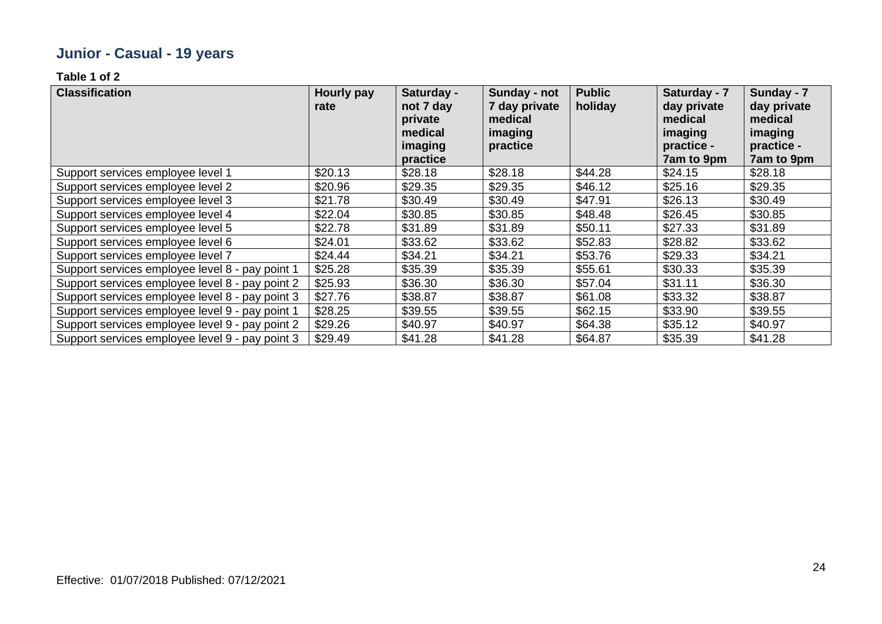# **Junior - Casual - 19 years**

| <b>Classification</b>                           | <b>Hourly pay</b><br>rate | Saturday -<br>not 7 day<br>private<br>medical<br>imaging<br>practice | Sunday - not<br>7 day private<br>medical<br>imaging<br>practice | <b>Public</b><br>holiday | Saturday - 7<br>day private<br>medical<br>imaging<br>practice -<br>7am to 9pm | Sunday - 7<br>day private<br>medical<br>imaging<br>practice -<br>7am to 9pm |
|-------------------------------------------------|---------------------------|----------------------------------------------------------------------|-----------------------------------------------------------------|--------------------------|-------------------------------------------------------------------------------|-----------------------------------------------------------------------------|
| Support services employee level 1               | \$20.13                   | \$28.18                                                              | \$28.18                                                         | \$44.28                  | \$24.15                                                                       | \$28.18                                                                     |
| Support services employee level 2               | \$20.96                   | \$29.35                                                              | \$29.35                                                         | \$46.12                  | \$25.16                                                                       | \$29.35                                                                     |
| Support services employee level 3               | \$21.78                   | \$30.49                                                              | \$30.49                                                         | \$47.91                  | \$26.13                                                                       | \$30.49                                                                     |
| Support services employee level 4               | \$22.04                   | \$30.85                                                              | \$30.85                                                         | \$48.48                  | \$26.45                                                                       | \$30.85                                                                     |
| Support services employee level 5               | \$22.78                   | \$31.89                                                              | \$31.89                                                         | \$50.11                  | \$27.33                                                                       | \$31.89                                                                     |
| Support services employee level 6               | \$24.01                   | \$33.62                                                              | \$33.62                                                         | \$52.83                  | \$28.82                                                                       | \$33.62                                                                     |
| Support services employee level 7               | \$24.44                   | \$34.21                                                              | \$34.21                                                         | \$53.76                  | \$29.33                                                                       | \$34.21                                                                     |
| Support services employee level 8 - pay point 1 | \$25.28                   | \$35.39                                                              | \$35.39                                                         | \$55.61                  | \$30.33                                                                       | \$35.39                                                                     |
| Support services employee level 8 - pay point 2 | \$25.93                   | \$36.30                                                              | \$36.30                                                         | \$57.04                  | \$31.11                                                                       | \$36.30                                                                     |
| Support services employee level 8 - pay point 3 | \$27.76                   | \$38.87                                                              | \$38.87                                                         | \$61.08                  | \$33.32                                                                       | \$38.87                                                                     |
| Support services employee level 9 - pay point 1 | \$28.25                   | \$39.55                                                              | \$39.55                                                         | \$62.15                  | \$33.90                                                                       | \$39.55                                                                     |
| Support services employee level 9 - pay point 2 | \$29.26                   | \$40.97                                                              | \$40.97                                                         | \$64.38                  | \$35.12                                                                       | \$40.97                                                                     |
| Support services employee level 9 - pay point 3 | \$29.49                   | \$41.28                                                              | \$41.28                                                         | \$64.87                  | \$35.39                                                                       | \$41.28                                                                     |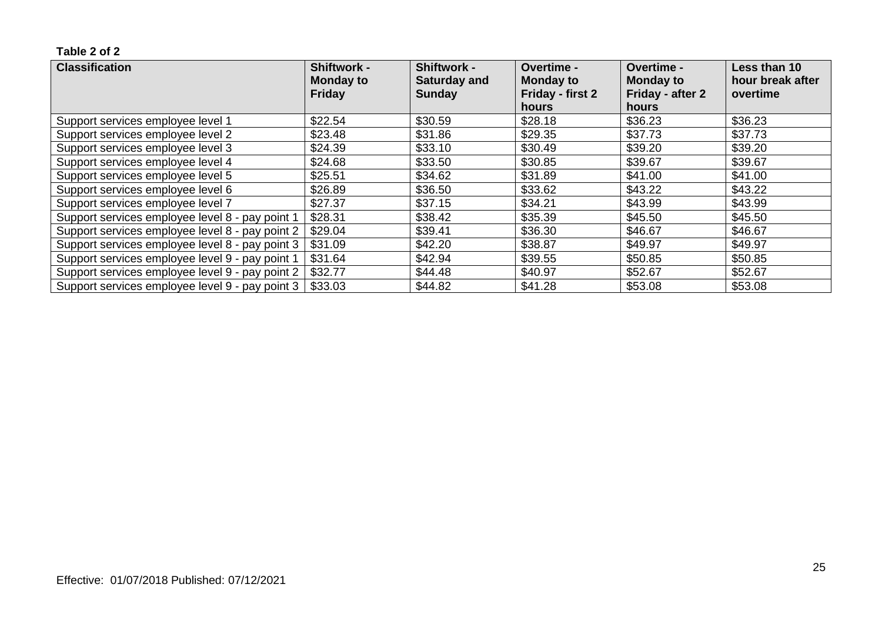| <b>Classification</b>                           | <b>Shiftwork -</b><br><b>Monday to</b> | <b>Shiftwork -</b><br><b>Saturday and</b> | <b>Overtime -</b><br><b>Monday to</b> | <b>Overtime -</b><br><b>Monday to</b> | Less than 10<br>hour break after |
|-------------------------------------------------|----------------------------------------|-------------------------------------------|---------------------------------------|---------------------------------------|----------------------------------|
|                                                 | <b>Friday</b>                          | <b>Sunday</b>                             | Friday - first 2                      | Friday - after 2                      | overtime                         |
|                                                 |                                        |                                           | hours                                 | hours                                 |                                  |
| Support services employee level 1               | \$22.54                                | \$30.59                                   | \$28.18                               | \$36.23                               | \$36.23                          |
| Support services employee level 2               | \$23.48                                | \$31.86                                   | \$29.35                               | \$37.73                               | \$37.73                          |
| Support services employee level 3               | \$24.39                                | \$33.10                                   | \$30.49                               | \$39.20                               | \$39.20                          |
| Support services employee level 4               | \$24.68                                | \$33.50                                   | \$30.85                               | \$39.67                               | \$39.67                          |
| Support services employee level 5               | \$25.51                                | \$34.62                                   | \$31.89                               | \$41.00                               | \$41.00                          |
| Support services employee level 6               | \$26.89                                | \$36.50                                   | \$33.62                               | \$43.22                               | \$43.22                          |
| Support services employee level 7               | \$27.37                                | \$37.15                                   | \$34.21                               | \$43.99                               | \$43.99                          |
| Support services employee level 8 - pay point 1 | \$28.31                                | \$38.42                                   | \$35.39                               | \$45.50                               | \$45.50                          |
| Support services employee level 8 - pay point 2 | \$29.04                                | \$39.41                                   | \$36.30                               | \$46.67                               | \$46.67                          |
| Support services employee level 8 - pay point 3 | \$31.09                                | \$42.20                                   | \$38.87                               | \$49.97                               | \$49.97                          |
| Support services employee level 9 - pay point 1 | \$31.64                                | \$42.94                                   | \$39.55                               | \$50.85                               | \$50.85                          |
| Support services employee level 9 - pay point 2 | \$32.77                                | \$44.48                                   | \$40.97                               | \$52.67                               | \$52.67                          |
| Support services employee level 9 - pay point 3 | \$33.03                                | \$44.82                                   | \$41.28                               | \$53.08                               | \$53.08                          |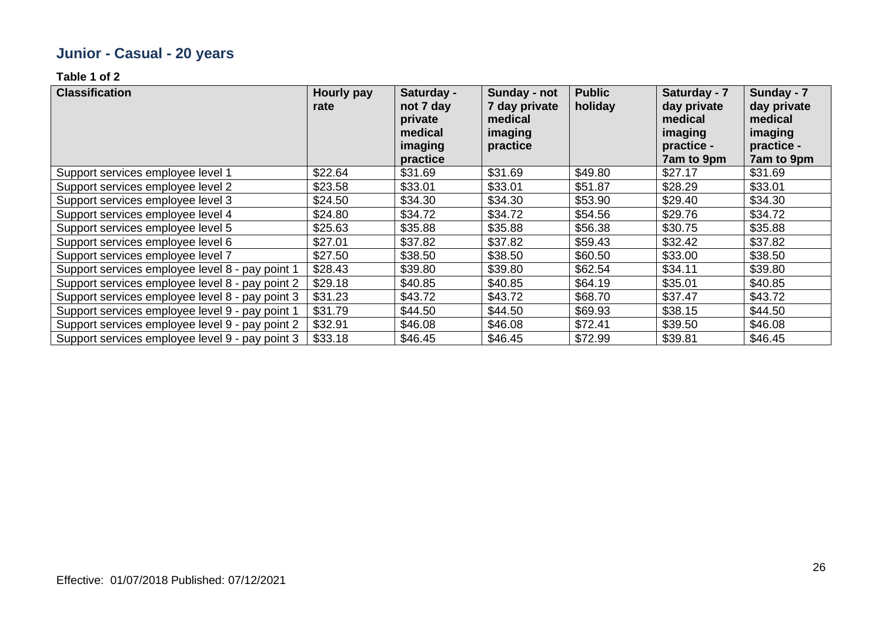# **Junior - Casual - 20 years**

| <b>Classification</b>                           | Hourly pay<br>rate | Saturday -<br>not 7 day<br>private<br>medical<br>imaging<br>practice | Sunday - not<br>7 day private<br>medical<br>imaging<br>practice | <b>Public</b><br>holiday | Saturday - 7<br>day private<br>medical<br>imaging<br>practice -<br>7am to 9pm | Sunday - 7<br>day private<br>medical<br>imaging<br>practice -<br>7am to 9pm |
|-------------------------------------------------|--------------------|----------------------------------------------------------------------|-----------------------------------------------------------------|--------------------------|-------------------------------------------------------------------------------|-----------------------------------------------------------------------------|
| Support services employee level 1               | \$22.64            | \$31.69                                                              | \$31.69                                                         | \$49.80                  | \$27.17                                                                       | \$31.69                                                                     |
| Support services employee level 2               | \$23.58            | \$33.01                                                              | \$33.01                                                         | \$51.87                  | \$28.29                                                                       | \$33.01                                                                     |
| Support services employee level 3               | \$24.50            | \$34.30                                                              | \$34.30                                                         | \$53.90                  | \$29.40                                                                       | \$34.30                                                                     |
| Support services employee level 4               | \$24.80            | \$34.72                                                              | \$34.72                                                         | \$54.56                  | \$29.76                                                                       | \$34.72                                                                     |
| Support services employee level 5               | \$25.63            | \$35.88                                                              | \$35.88                                                         | \$56.38                  | \$30.75                                                                       | \$35.88                                                                     |
| Support services employee level 6               | \$27.01            | \$37.82                                                              | \$37.82                                                         | \$59.43                  | \$32.42                                                                       | \$37.82                                                                     |
| Support services employee level 7               | \$27.50            | \$38.50                                                              | \$38.50                                                         | \$60.50                  | \$33.00                                                                       | \$38.50                                                                     |
| Support services employee level 8 - pay point 1 | \$28.43            | \$39.80                                                              | \$39.80                                                         | \$62.54                  | \$34.11                                                                       | \$39.80                                                                     |
| Support services employee level 8 - pay point 2 | \$29.18            | \$40.85                                                              | \$40.85                                                         | \$64.19                  | \$35.01                                                                       | \$40.85                                                                     |
| Support services employee level 8 - pay point 3 | \$31.23            | \$43.72                                                              | \$43.72                                                         | \$68.70                  | \$37.47                                                                       | \$43.72                                                                     |
| Support services employee level 9 - pay point 1 | \$31.79            | \$44.50                                                              | \$44.50                                                         | \$69.93                  | \$38.15                                                                       | \$44.50                                                                     |
| Support services employee level 9 - pay point 2 | \$32.91            | \$46.08                                                              | \$46.08                                                         | \$72.41                  | \$39.50                                                                       | \$46.08                                                                     |
| Support services employee level 9 - pay point 3 | \$33.18            | \$46.45                                                              | \$46.45                                                         | \$72.99                  | \$39.81                                                                       | \$46.45                                                                     |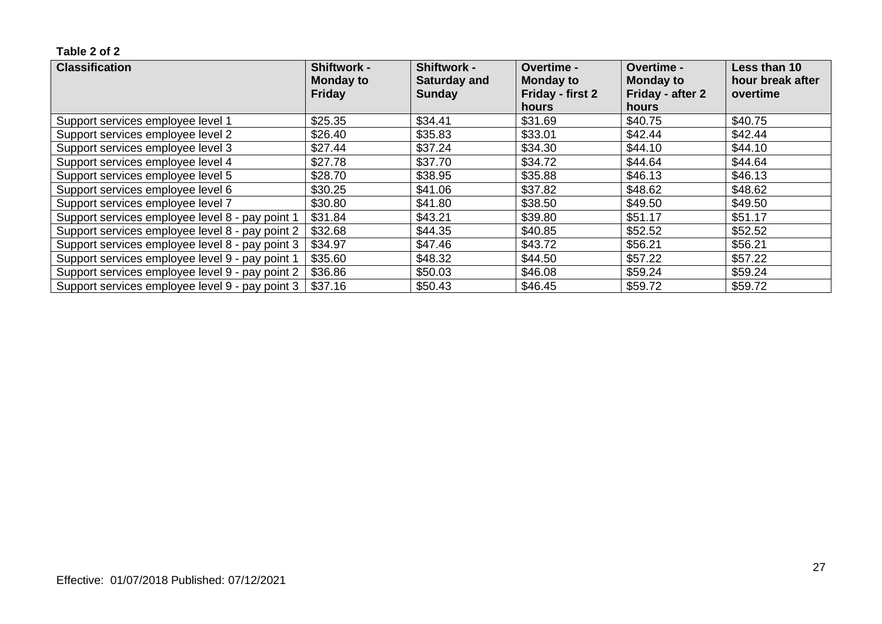| <b>Classification</b>                           | <b>Shiftwork -</b><br><b>Monday to</b> | <b>Shiftwork -</b><br><b>Saturday and</b> | <b>Overtime -</b><br><b>Monday to</b> | <b>Overtime -</b><br><b>Monday to</b> | Less than 10<br>hour break after |
|-------------------------------------------------|----------------------------------------|-------------------------------------------|---------------------------------------|---------------------------------------|----------------------------------|
|                                                 | <b>Friday</b>                          | <b>Sunday</b>                             | Friday - first 2                      | Friday - after 2                      | overtime                         |
|                                                 |                                        |                                           | hours                                 | hours                                 |                                  |
| Support services employee level 1               | \$25.35                                | \$34.41                                   | \$31.69                               | \$40.75                               | \$40.75                          |
| Support services employee level 2               | \$26.40                                | \$35.83                                   | \$33.01                               | \$42.44                               | \$42.44                          |
| Support services employee level 3               | \$27.44                                | \$37.24                                   | \$34.30                               | \$44.10                               | \$44.10                          |
| Support services employee level 4               | \$27.78                                | \$37.70                                   | \$34.72                               | \$44.64                               | \$44.64                          |
| Support services employee level 5               | \$28.70                                | \$38.95                                   | \$35.88                               | \$46.13                               | \$46.13                          |
| Support services employee level 6               | \$30.25                                | \$41.06                                   | \$37.82                               | \$48.62                               | \$48.62                          |
| Support services employee level 7               | \$30.80                                | \$41.80                                   | \$38.50                               | \$49.50                               | \$49.50                          |
| Support services employee level 8 - pay point 1 | \$31.84                                | \$43.21                                   | \$39.80                               | \$51.17                               | \$51.17                          |
| Support services employee level 8 - pay point 2 | \$32.68                                | \$44.35                                   | \$40.85                               | \$52.52                               | \$52.52                          |
| Support services employee level 8 - pay point 3 | \$34.97                                | \$47.46                                   | \$43.72                               | \$56.21                               | \$56.21                          |
| Support services employee level 9 - pay point 1 | \$35.60                                | \$48.32                                   | \$44.50                               | \$57.22                               | \$57.22                          |
| Support services employee level 9 - pay point 2 | \$36.86                                | \$50.03                                   | \$46.08                               | \$59.24                               | \$59.24                          |
| Support services employee level 9 - pay point 3 | \$37.16                                | \$50.43                                   | \$46.45                               | \$59.72                               | \$59.72                          |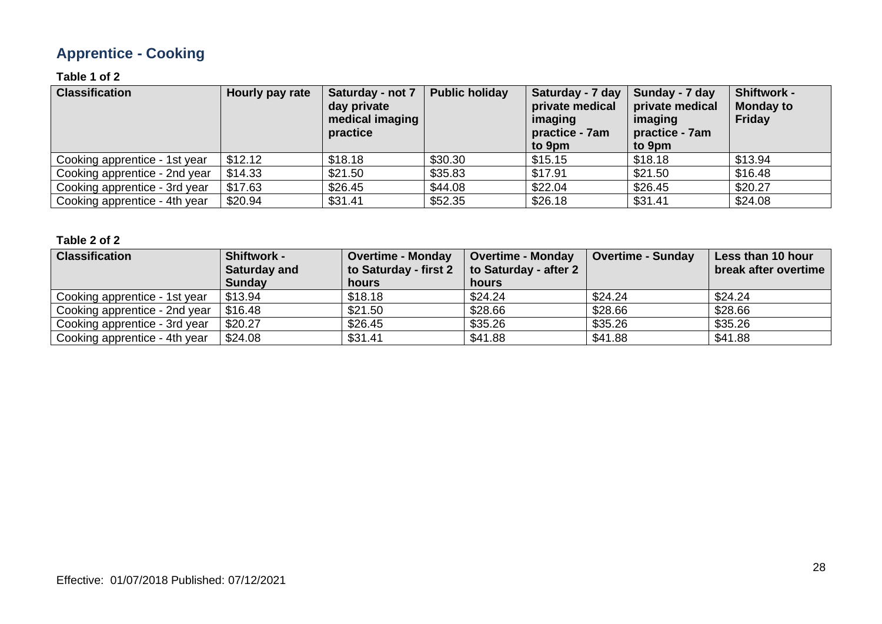# **Apprentice - Cooking**

### **Table 1 of 2**

| <b>Classification</b>         | Hourly pay rate | Saturday - not 7<br>day private<br>medical imaging<br>practice | <b>Public holiday</b> | Saturday - 7 day<br>private medical<br>imaging<br>practice - 7am<br>to 9pm | Sunday - 7 day<br>private medical<br>imaging<br>practice - 7am<br>to 9pm | <b>Shiftwork -</b><br><b>Monday to</b><br>Friday |
|-------------------------------|-----------------|----------------------------------------------------------------|-----------------------|----------------------------------------------------------------------------|--------------------------------------------------------------------------|--------------------------------------------------|
| Cooking apprentice - 1st year | \$12.12         | \$18.18                                                        | \$30.30               | \$15.15                                                                    | \$18.18                                                                  | \$13.94                                          |
| Cooking apprentice - 2nd year | \$14.33         | \$21.50                                                        | \$35.83               | \$17.91                                                                    | \$21.50                                                                  | \$16.48                                          |
| Cooking apprentice - 3rd year | \$17.63         | \$26.45                                                        | \$44.08               | \$22.04                                                                    | \$26.45                                                                  | \$20.27                                          |
| Cooking apprentice - 4th year | \$20.94         | \$31.41                                                        | \$52.35               | \$26.18                                                                    | \$31.41                                                                  | \$24.08                                          |

| <b>Classification</b>         | <b>Shiftwork -</b><br><b>Saturday and</b> | <b>Overtime - Monday</b><br>to Saturday - first 2 | <b>Overtime - Monday</b><br>to Saturday - after 2 | <b>Overtime - Sunday</b> | Less than 10 hour<br>break after overtime |
|-------------------------------|-------------------------------------------|---------------------------------------------------|---------------------------------------------------|--------------------------|-------------------------------------------|
|                               | <b>Sunday</b>                             | hours                                             | hours                                             |                          |                                           |
| Cooking apprentice - 1st year | \$13.94                                   | \$18.18                                           | \$24.24                                           | \$24.24                  | \$24.24                                   |
| Cooking apprentice - 2nd year | \$16.48                                   | \$21.50                                           | \$28.66                                           | \$28.66                  | \$28.66                                   |
| Cooking apprentice - 3rd year | \$20.27                                   | \$26.45                                           | \$35.26                                           | \$35.26                  | \$35.26                                   |
| Cooking apprentice - 4th year | \$24.08                                   | \$31.41                                           | \$41.88                                           | \$41.88                  | \$41.88                                   |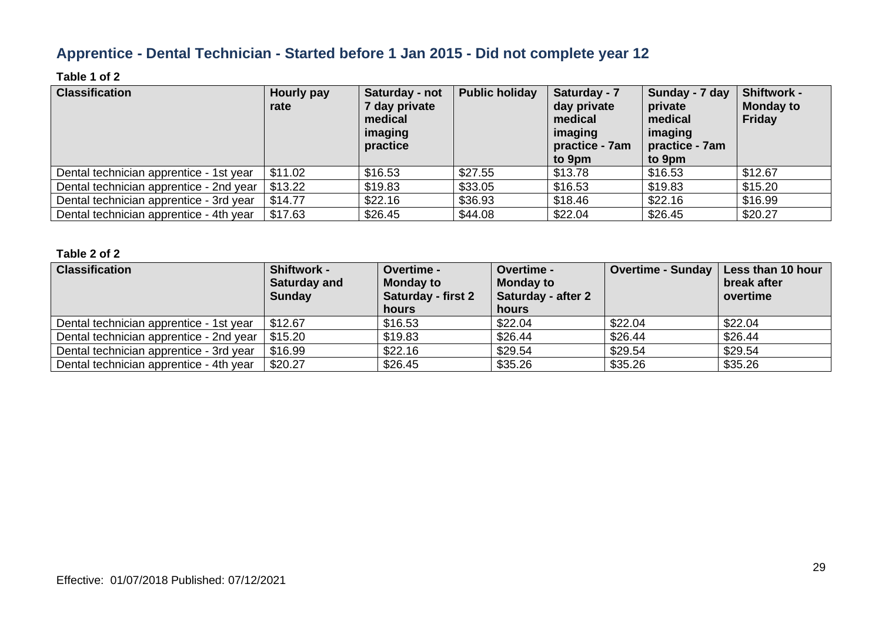### **Apprentice - Dental Technician - Started before 1 Jan 2015 - Did not complete year 12**

### **Table 1 of 2**

| <b>Classification</b>                   | Hourly pay<br>rate | Saturday - not<br>7 day private<br>medical<br>imaging<br>practice | <b>Public holiday</b> | Saturday - 7<br>day private<br>medical<br>imaging<br>practice - 7am<br>to 9pm | Sunday - 7 day<br>private<br>medical<br>imaging<br>practice - 7am<br>to 9pm | <b>Shiftwork -</b><br><b>Monday to</b><br><b>Friday</b> |
|-----------------------------------------|--------------------|-------------------------------------------------------------------|-----------------------|-------------------------------------------------------------------------------|-----------------------------------------------------------------------------|---------------------------------------------------------|
| Dental technician apprentice - 1st year | \$11.02            | \$16.53                                                           | \$27.55               | \$13.78                                                                       | \$16.53                                                                     | \$12.67                                                 |
| Dental technician apprentice - 2nd year | \$13.22            | \$19.83                                                           | \$33.05               | \$16.53                                                                       | \$19.83                                                                     | \$15.20                                                 |
| Dental technician apprentice - 3rd year | \$14.77            | \$22.16                                                           | \$36.93               | \$18.46                                                                       | \$22.16                                                                     | \$16.99                                                 |
| Dental technician apprentice - 4th year | \$17.63            | \$26.45                                                           | \$44.08               | \$22.04                                                                       | \$26.45                                                                     | \$20.27                                                 |

| <b>Classification</b>                   | Shiftwork -<br><b>Saturday and</b><br><b>Sunday</b> | <b>Overtime -</b><br><b>Monday to</b><br><b>Saturday - first 2</b><br><b>hours</b> | <b>Overtime -</b><br><b>Monday to</b><br>Saturday - after 2<br>hours | Overtime - Sunday   Less than 10 hour | break after<br>overtime |
|-----------------------------------------|-----------------------------------------------------|------------------------------------------------------------------------------------|----------------------------------------------------------------------|---------------------------------------|-------------------------|
| Dental technician apprentice - 1st year | \$12.67                                             | \$16.53                                                                            | \$22.04                                                              | \$22.04                               | \$22.04                 |
| Dental technician apprentice - 2nd year | \$15.20                                             | \$19.83                                                                            | \$26.44                                                              | \$26.44                               | \$26.44                 |
| Dental technician apprentice - 3rd year | \$16.99                                             | \$22.16                                                                            | \$29.54                                                              | \$29.54                               | \$29.54                 |
| Dental technician apprentice - 4th year | \$20.27                                             | \$26.45                                                                            | \$35.26                                                              | \$35.26                               | \$35.26                 |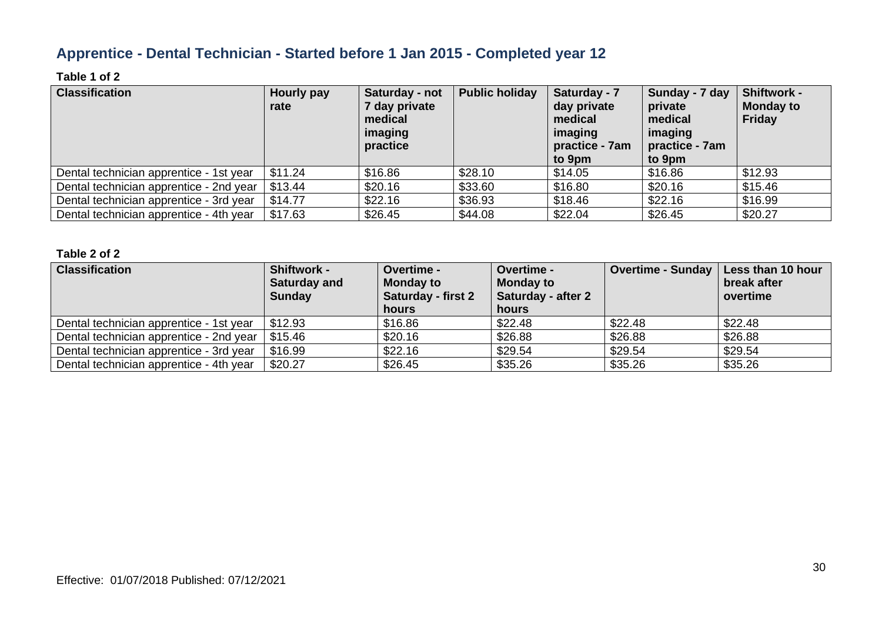### **Apprentice - Dental Technician - Started before 1 Jan 2015 - Completed year 12**

### **Table 1 of 2**

| <b>Classification</b>                   | Hourly pay<br>rate | Saturday - not<br>7 day private<br>medical<br>imaging<br>practice | <b>Public holiday</b> | Saturday - 7<br>day private<br>medical<br>imaging<br>practice - 7am<br>to 9pm | Sunday - 7 day<br>private<br>medical<br>imaging<br>practice - 7am<br>to 9pm | <b>Shiftwork -</b><br><b>Monday to</b><br><b>Friday</b> |
|-----------------------------------------|--------------------|-------------------------------------------------------------------|-----------------------|-------------------------------------------------------------------------------|-----------------------------------------------------------------------------|---------------------------------------------------------|
| Dental technician apprentice - 1st year | \$11.24            | \$16.86                                                           | \$28.10               | \$14.05                                                                       | \$16.86                                                                     | \$12.93                                                 |
| Dental technician apprentice - 2nd year | \$13.44            | \$20.16                                                           | \$33.60               | \$16.80                                                                       | \$20.16                                                                     | \$15.46                                                 |
| Dental technician apprentice - 3rd year | \$14.77            | \$22.16                                                           | \$36.93               | \$18.46                                                                       | \$22.16                                                                     | \$16.99                                                 |
| Dental technician apprentice - 4th year | \$17.63            | \$26.45                                                           | \$44.08               | \$22.04                                                                       | \$26.45                                                                     | \$20.27                                                 |

| <b>Classification</b>                   | Shiftwork -<br><b>Saturday and</b><br><b>Sunday</b> | <b>Overtime -</b><br><b>Monday to</b><br><b>Saturday - first 2</b><br>hours | <b>Overtime -</b><br><b>Monday to</b><br>Saturday - after 2<br>hours | Overtime - Sunday   Less than 10 hour | break after<br>overtime |
|-----------------------------------------|-----------------------------------------------------|-----------------------------------------------------------------------------|----------------------------------------------------------------------|---------------------------------------|-------------------------|
| Dental technician apprentice - 1st year | \$12.93                                             | \$16.86                                                                     | \$22.48                                                              | \$22.48                               | \$22.48                 |
| Dental technician apprentice - 2nd year | \$15.46                                             | \$20.16                                                                     | \$26.88                                                              | \$26.88                               | \$26.88                 |
| Dental technician apprentice - 3rd year | \$16.99                                             | \$22.16                                                                     | \$29.54                                                              | \$29.54                               | \$29.54                 |
| Dental technician apprentice - 4th year | \$20.27                                             | \$26.45                                                                     | \$35.26                                                              | \$35.26                               | \$35.26                 |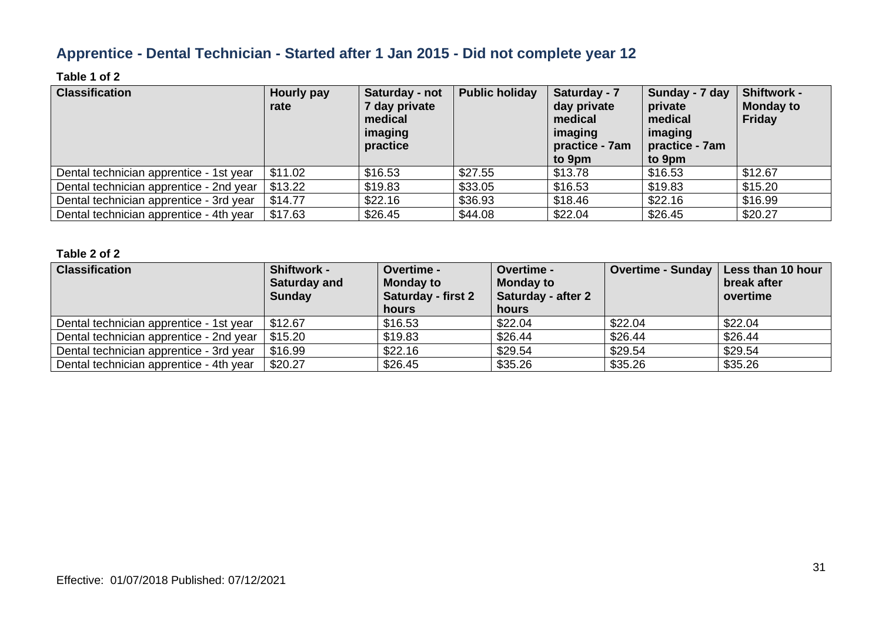### **Apprentice - Dental Technician - Started after 1 Jan 2015 - Did not complete year 12**

### **Table 1 of 2**

| <b>Classification</b>                   | Hourly pay<br>rate | Saturday - not<br>7 day private<br>medical<br>imaging<br>practice | <b>Public holiday</b> | Saturday - 7<br>day private<br>medical<br>imaging<br>practice - 7am<br>to 9pm | Sunday - 7 day<br>private<br>medical<br>imaging<br>practice - 7am<br>to 9pm | <b>Shiftwork -</b><br><b>Monday to</b><br><b>Friday</b> |
|-----------------------------------------|--------------------|-------------------------------------------------------------------|-----------------------|-------------------------------------------------------------------------------|-----------------------------------------------------------------------------|---------------------------------------------------------|
| Dental technician apprentice - 1st year | \$11.02            | \$16.53                                                           | \$27.55               | \$13.78                                                                       | \$16.53                                                                     | \$12.67                                                 |
| Dental technician apprentice - 2nd year | \$13.22            | \$19.83                                                           | \$33.05               | \$16.53                                                                       | \$19.83                                                                     | \$15.20                                                 |
| Dental technician apprentice - 3rd year | \$14.77            | \$22.16                                                           | \$36.93               | \$18.46                                                                       | \$22.16                                                                     | \$16.99                                                 |
| Dental technician apprentice - 4th year | \$17.63            | \$26.45                                                           | \$44.08               | \$22.04                                                                       | \$26.45                                                                     | \$20.27                                                 |

| <b>Classification</b>                   | Shiftwork -<br><b>Saturday and</b><br><b>Sunday</b> | <b>Overtime -</b><br><b>Monday to</b><br><b>Saturday - first 2</b><br>hours | <b>Overtime -</b><br><b>Monday to</b><br>Saturday - after 2<br>hours | Overtime - Sunday   Less than 10 hour | break after<br>overtime |
|-----------------------------------------|-----------------------------------------------------|-----------------------------------------------------------------------------|----------------------------------------------------------------------|---------------------------------------|-------------------------|
| Dental technician apprentice - 1st year | \$12.67                                             | \$16.53                                                                     | \$22.04                                                              | \$22.04                               | \$22.04                 |
| Dental technician apprentice - 2nd year | \$15.20                                             | \$19.83                                                                     | \$26.44                                                              | \$26.44                               | \$26.44                 |
| Dental technician apprentice - 3rd year | \$16.99                                             | \$22.16                                                                     | \$29.54                                                              | \$29.54                               | \$29.54                 |
| Dental technician apprentice - 4th year | \$20.27                                             | \$26.45                                                                     | \$35.26                                                              | \$35.26                               | \$35.26                 |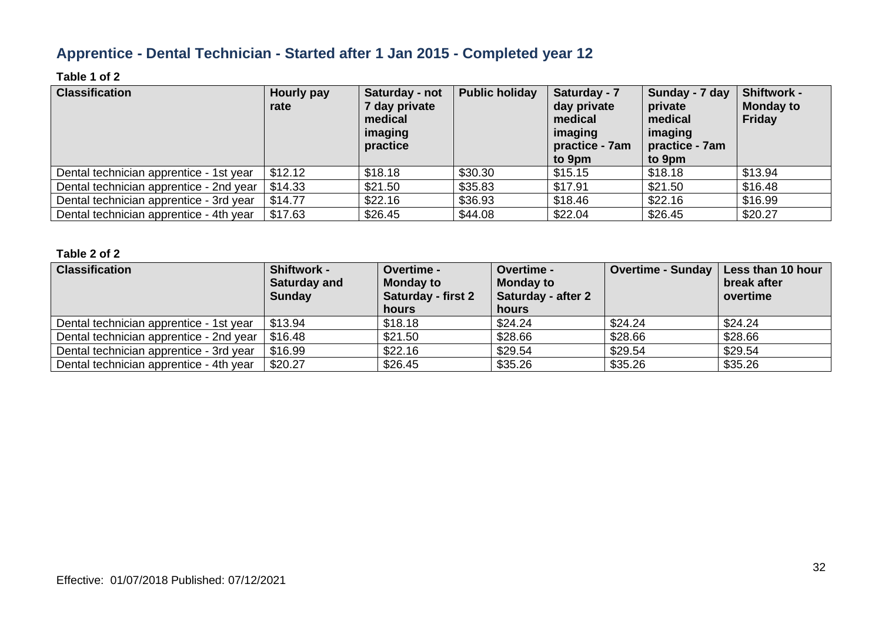### **Apprentice - Dental Technician - Started after 1 Jan 2015 - Completed year 12**

### **Table 1 of 2**

| <b>Classification</b>                   | Hourly pay<br>rate | Saturday - not<br>7 day private<br>medical<br>imaging<br>practice | <b>Public holiday</b> | Saturday - 7<br>day private<br>medical<br>imaging<br>practice - 7am<br>to 9pm | Sunday - 7 day<br>private<br>medical<br>imaging<br>practice - 7am<br>to 9pm | <b>Shiftwork -</b><br><b>Monday to</b><br><b>Friday</b> |
|-----------------------------------------|--------------------|-------------------------------------------------------------------|-----------------------|-------------------------------------------------------------------------------|-----------------------------------------------------------------------------|---------------------------------------------------------|
| Dental technician apprentice - 1st year | \$12.12            | \$18.18                                                           | \$30.30               | \$15.15                                                                       | \$18.18                                                                     | \$13.94                                                 |
| Dental technician apprentice - 2nd year | \$14.33            | \$21.50                                                           | \$35.83               | \$17.91                                                                       | \$21.50                                                                     | \$16.48                                                 |
| Dental technician apprentice - 3rd year | \$14.77            | \$22.16                                                           | \$36.93               | \$18.46                                                                       | \$22.16                                                                     | \$16.99                                                 |
| Dental technician apprentice - 4th year | \$17.63            | \$26.45                                                           | \$44.08               | \$22.04                                                                       | \$26.45                                                                     | \$20.27                                                 |

| <b>Classification</b>                   | Shiftwork -<br><b>Saturday and</b><br><b>Sunday</b> | <b>Overtime -</b><br><b>Monday to</b><br><b>Saturday - first 2</b><br>hours | <b>Overtime -</b><br><b>Monday to</b><br>Saturday - after 2<br>hours | Overtime - Sunday   Less than 10 hour | break after<br>overtime |
|-----------------------------------------|-----------------------------------------------------|-----------------------------------------------------------------------------|----------------------------------------------------------------------|---------------------------------------|-------------------------|
| Dental technician apprentice - 1st year | \$13.94                                             | \$18.18                                                                     | \$24.24                                                              | \$24.24                               | \$24.24                 |
| Dental technician apprentice - 2nd year | \$16.48                                             | \$21.50                                                                     | \$28.66                                                              | \$28.66                               | \$28.66                 |
| Dental technician apprentice - 3rd year | \$16.99                                             | \$22.16                                                                     | \$29.54                                                              | \$29.54                               | \$29.54                 |
| Dental technician apprentice - 4th year | \$20.27                                             | \$26.45                                                                     | \$35.26                                                              | \$35.26                               | \$35.26                 |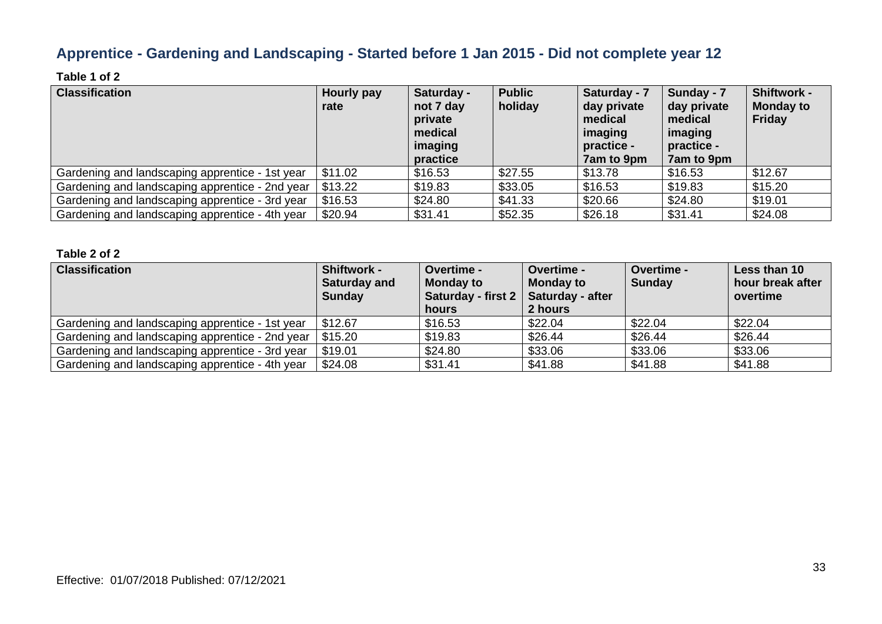### **Apprentice - Gardening and Landscaping - Started before 1 Jan 2015 - Did not complete year 12**

### **Table 1 of 2**

| <b>Classification</b>                           | Hourly pay<br>rate | Saturday -<br>not 7 day<br>private<br>medical<br>imaging<br>practice | <b>Public</b><br>holiday | Saturday - 7<br>day private<br>medical<br>imaging<br>practice -<br>7am to 9pm | Sunday - 7<br>day private<br>medical<br>imaging<br>practice -<br>7am to 9pm | <b>Shiftwork -</b><br><b>Monday to</b><br><b>Friday</b> |
|-------------------------------------------------|--------------------|----------------------------------------------------------------------|--------------------------|-------------------------------------------------------------------------------|-----------------------------------------------------------------------------|---------------------------------------------------------|
| Gardening and landscaping apprentice - 1st year | \$11.02            | \$16.53                                                              | \$27.55                  | \$13.78                                                                       | \$16.53                                                                     | \$12.67                                                 |
| Gardening and landscaping apprentice - 2nd year | \$13.22            | \$19.83                                                              | \$33.05                  | \$16.53                                                                       | \$19.83                                                                     | \$15.20                                                 |
| Gardening and landscaping apprentice - 3rd year | \$16.53            | \$24.80                                                              | \$41.33                  | \$20.66                                                                       | \$24.80                                                                     | \$19.01                                                 |
| Gardening and landscaping apprentice - 4th year | \$20.94            | \$31.41                                                              | \$52.35                  | \$26.18                                                                       | \$31.41                                                                     | \$24.08                                                 |

| <b>Classification</b>                           | <b>Shiftwork -</b><br><b>Saturday and</b><br><b>Sunday</b> | <b>Overtime -</b><br><b>Monday to</b><br>Saturday - first 2   Saturday - after<br>hours | <b>Overtime -</b><br><b>Monday to</b><br>2 hours | <b>Overtime -</b><br><b>Sunday</b> | Less than 10<br>hour break after<br>overtime |
|-------------------------------------------------|------------------------------------------------------------|-----------------------------------------------------------------------------------------|--------------------------------------------------|------------------------------------|----------------------------------------------|
| Gardening and landscaping apprentice - 1st year | \$12.67                                                    | \$16.53                                                                                 | \$22.04                                          | \$22.04                            | \$22.04                                      |
| Gardening and landscaping apprentice - 2nd year | \$15.20                                                    | \$19.83                                                                                 | \$26.44                                          | \$26.44                            | \$26.44                                      |
| Gardening and landscaping apprentice - 3rd year | \$19.01                                                    | \$24.80                                                                                 | \$33.06                                          | \$33.06                            | \$33.06                                      |
| Gardening and landscaping apprentice - 4th year | \$24.08                                                    | \$31.41                                                                                 | \$41.88                                          | \$41.88                            | \$41.88                                      |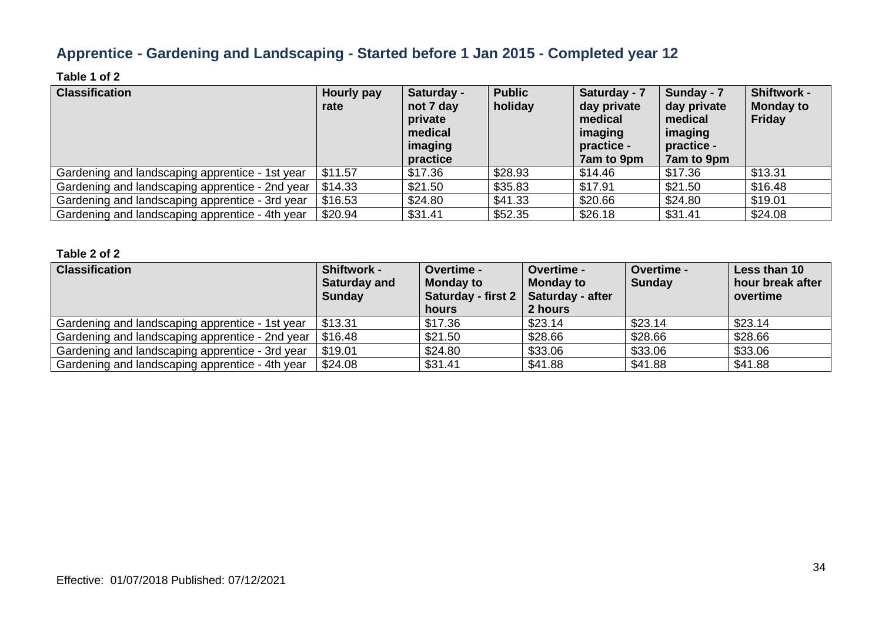### **Apprentice - Gardening and Landscaping - Started before 1 Jan 2015 - Completed year 12**

### **Table 1 of 2**

| <b>Classification</b>                           | Hourly pay<br>rate | Saturday -<br>not 7 day<br>private<br>medical<br>imaging<br>practice | <b>Public</b><br>holiday | Saturday - 7<br>day private<br>medical<br>imaging<br>practice -<br>7am to 9pm | Sunday - 7<br>day private<br>medical<br>imaging<br>practice -<br>7am to 9pm | <b>Shiftwork -</b><br><b>Monday to</b><br>Friday |
|-------------------------------------------------|--------------------|----------------------------------------------------------------------|--------------------------|-------------------------------------------------------------------------------|-----------------------------------------------------------------------------|--------------------------------------------------|
| Gardening and landscaping apprentice - 1st year | \$11.57            | \$17.36                                                              | \$28.93                  | \$14.46                                                                       | \$17.36                                                                     | \$13.31                                          |
| Gardening and landscaping apprentice - 2nd year | \$14.33            | \$21.50                                                              | \$35.83                  | \$17.91                                                                       | \$21.50                                                                     | \$16.48                                          |
| Gardening and landscaping apprentice - 3rd year | \$16.53            | \$24.80                                                              | \$41.33                  | \$20.66                                                                       | \$24.80                                                                     | \$19.01                                          |
| Gardening and landscaping apprentice - 4th year | \$20.94            | \$31.41                                                              | \$52.35                  | \$26.18                                                                       | \$31.41                                                                     | \$24.08                                          |

| <b>Classification</b>                           | <b>Shiftwork -</b><br><b>Saturday and</b><br><b>Sunday</b> | <b>Overtime -</b><br><b>Monday to</b><br>Saturday - first 2   Saturday - after<br>hours | Overtime -<br><b>Monday to</b><br>2 hours | <b>Overtime -</b><br><b>Sunday</b> | Less than 10<br>hour break after<br>overtime |
|-------------------------------------------------|------------------------------------------------------------|-----------------------------------------------------------------------------------------|-------------------------------------------|------------------------------------|----------------------------------------------|
| Gardening and landscaping apprentice - 1st year | \$13.31                                                    | \$17.36                                                                                 | \$23.14                                   | \$23.14                            | \$23.14                                      |
| Gardening and landscaping apprentice - 2nd year | \$16.48                                                    | \$21.50                                                                                 | \$28.66                                   | \$28.66                            | \$28.66                                      |
| Gardening and landscaping apprentice - 3rd year | \$19.01                                                    | \$24.80                                                                                 | \$33.06                                   | \$33.06                            | \$33.06                                      |
| Gardening and landscaping apprentice - 4th year | \$24.08                                                    | \$31.41                                                                                 | \$41.88                                   | \$41.88                            | \$41.88                                      |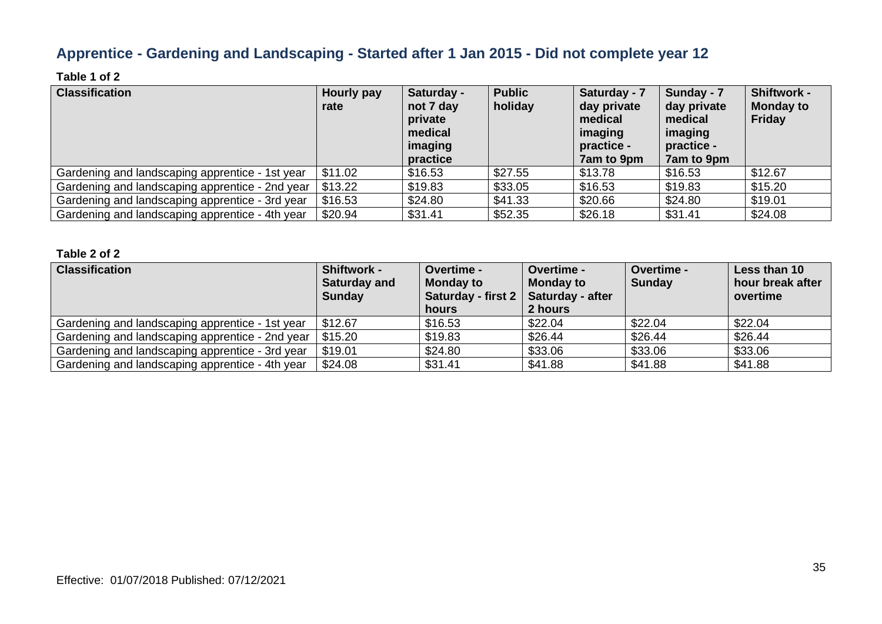### **Apprentice - Gardening and Landscaping - Started after 1 Jan 2015 - Did not complete year 12**

### **Table 1 of 2**

| <b>Classification</b>                           | Hourly pay<br>rate | Saturday -<br>not 7 day<br>private<br>medical<br>imaging<br>practice | <b>Public</b><br>holiday | Saturday - 7<br>day private<br>medical<br>imaging<br>practice -<br>7am to 9pm | Sunday - 7<br>day private<br>medical<br>imaging<br>practice -<br>7am to 9pm | <b>Shiftwork -</b><br><b>Monday to</b><br><b>Friday</b> |
|-------------------------------------------------|--------------------|----------------------------------------------------------------------|--------------------------|-------------------------------------------------------------------------------|-----------------------------------------------------------------------------|---------------------------------------------------------|
| Gardening and landscaping apprentice - 1st year | \$11.02            | \$16.53                                                              | \$27.55                  | \$13.78                                                                       | \$16.53                                                                     | \$12.67                                                 |
| Gardening and landscaping apprentice - 2nd year | \$13.22            | \$19.83                                                              | \$33.05                  | \$16.53                                                                       | \$19.83                                                                     | \$15.20                                                 |
| Gardening and landscaping apprentice - 3rd year | \$16.53            | \$24.80                                                              | \$41.33                  | \$20.66                                                                       | \$24.80                                                                     | \$19.01                                                 |
| Gardening and landscaping apprentice - 4th year | \$20.94            | \$31.41                                                              | \$52.35                  | \$26.18                                                                       | \$31.41                                                                     | \$24.08                                                 |

| <b>Classification</b>                           | <b>Shiftwork -</b><br><b>Saturday and</b><br><b>Sunday</b> | <b>Overtime -</b><br><b>Monday to</b><br>Saturday - first 2   Saturday - after<br>hours | <b>Overtime -</b><br><b>Monday to</b><br>2 hours | <b>Overtime -</b><br><b>Sunday</b> | Less than 10<br>hour break after<br>overtime |
|-------------------------------------------------|------------------------------------------------------------|-----------------------------------------------------------------------------------------|--------------------------------------------------|------------------------------------|----------------------------------------------|
| Gardening and landscaping apprentice - 1st year | \$12.67                                                    | \$16.53                                                                                 | \$22.04                                          | \$22.04                            | \$22.04                                      |
| Gardening and landscaping apprentice - 2nd year | \$15.20                                                    | \$19.83                                                                                 | \$26.44                                          | \$26.44                            | \$26.44                                      |
| Gardening and landscaping apprentice - 3rd year | \$19.01                                                    | \$24.80                                                                                 | \$33.06                                          | \$33.06                            | \$33.06                                      |
| Gardening and landscaping apprentice - 4th year | \$24.08                                                    | \$31.41                                                                                 | \$41.88                                          | \$41.88                            | \$41.88                                      |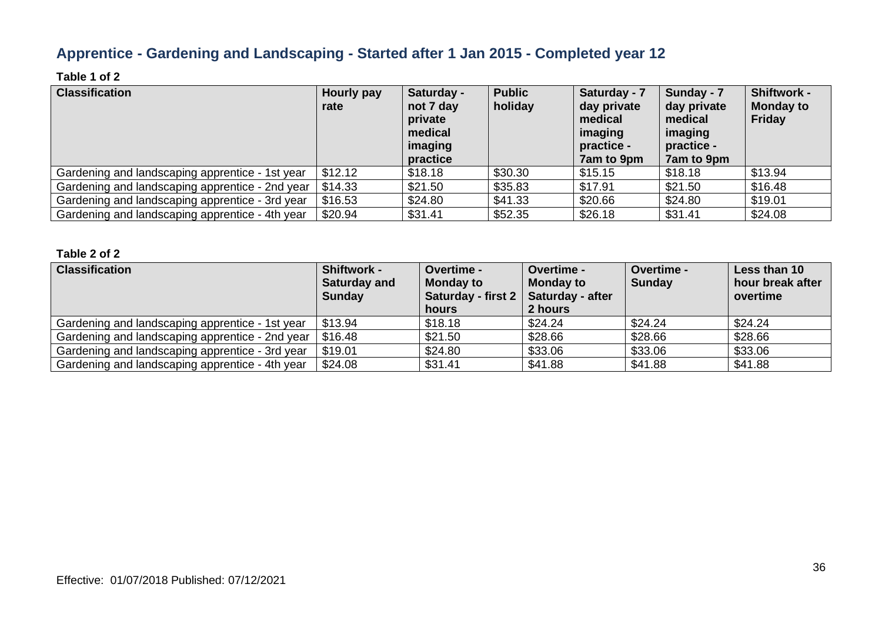### **Apprentice - Gardening and Landscaping - Started after 1 Jan 2015 - Completed year 12**

### **Table 1 of 2**

| <b>Classification</b>                           | Hourly pay<br>rate | Saturday -<br>not 7 day<br>private<br>medical<br>imaging<br>practice | <b>Public</b><br>holiday | Saturday - 7<br>day private<br>medical<br>imaging<br>practice -<br>7am to 9pm | Sunday - 7<br>day private<br>medical<br>imaging<br>practice -<br>7am to 9pm | <b>Shiftwork -</b><br><b>Monday to</b><br><b>Friday</b> |
|-------------------------------------------------|--------------------|----------------------------------------------------------------------|--------------------------|-------------------------------------------------------------------------------|-----------------------------------------------------------------------------|---------------------------------------------------------|
| Gardening and landscaping apprentice - 1st year | \$12.12            | \$18.18                                                              | \$30.30                  | \$15.15                                                                       | \$18.18                                                                     | \$13.94                                                 |
| Gardening and landscaping apprentice - 2nd year | \$14.33            | \$21.50                                                              | \$35.83                  | \$17.91                                                                       | \$21.50                                                                     | \$16.48                                                 |
| Gardening and landscaping apprentice - 3rd year | \$16.53            | \$24.80                                                              | \$41.33                  | \$20.66                                                                       | \$24.80                                                                     | \$19.01                                                 |
| Gardening and landscaping apprentice - 4th year | \$20.94            | \$31.41                                                              | \$52.35                  | \$26.18                                                                       | \$31.41                                                                     | \$24.08                                                 |

| <b>Classification</b>                           | <b>Shiftwork -</b><br><b>Saturday and</b><br><b>Sunday</b> | <b>Overtime -</b><br><b>Monday to</b><br>Saturday - first 2   Saturday - after<br>hours | Overtime -<br><b>Monday to</b><br>2 hours | <b>Overtime -</b><br><b>Sunday</b> | Less than 10<br>hour break after<br>overtime |
|-------------------------------------------------|------------------------------------------------------------|-----------------------------------------------------------------------------------------|-------------------------------------------|------------------------------------|----------------------------------------------|
| Gardening and landscaping apprentice - 1st year | \$13.94                                                    | \$18.18                                                                                 | \$24.24                                   | \$24.24                            | \$24.24                                      |
| Gardening and landscaping apprentice - 2nd year | \$16.48                                                    | \$21.50                                                                                 | \$28.66                                   | \$28.66                            | \$28.66                                      |
| Gardening and landscaping apprentice - 3rd year | \$19.01                                                    | \$24.80                                                                                 | \$33.06                                   | \$33.06                            | \$33.06                                      |
| Gardening and landscaping apprentice - 4th year | \$24.08                                                    | \$31.41                                                                                 | \$41.88                                   | \$41.88                            | \$41.88                                      |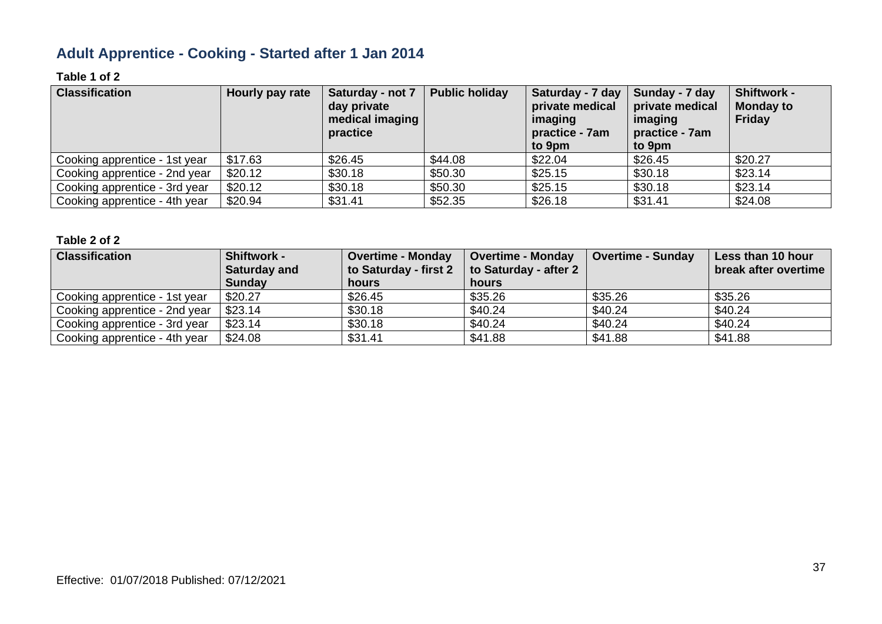# **Adult Apprentice - Cooking - Started after 1 Jan 2014**

### **Table 1 of 2**

| <b>Classification</b>         | Hourly pay rate | Saturday - not 7<br>day private<br>medical imaging<br>practice | <b>Public holiday</b> | Saturday - 7 day<br>private medical<br>imaging<br>practice - 7am<br>to 9pm | Sunday - 7 day<br>private medical<br>imaging<br>practice - 7am<br>to 9pm | <b>Shiftwork -</b><br><b>Monday to</b><br>Friday |
|-------------------------------|-----------------|----------------------------------------------------------------|-----------------------|----------------------------------------------------------------------------|--------------------------------------------------------------------------|--------------------------------------------------|
| Cooking apprentice - 1st year | \$17.63         | \$26.45                                                        | \$44.08               | \$22.04                                                                    | \$26.45                                                                  | \$20.27                                          |
| Cooking apprentice - 2nd year | \$20.12         | \$30.18                                                        | \$50.30               | \$25.15                                                                    | \$30.18                                                                  | \$23.14                                          |
| Cooking apprentice - 3rd year | \$20.12         | \$30.18                                                        | \$50.30               | \$25.15                                                                    | \$30.18                                                                  | \$23.14                                          |
| Cooking apprentice - 4th year | \$20.94         | \$31.41                                                        | \$52.35               | \$26.18                                                                    | \$31.41                                                                  | \$24.08                                          |

| <b>Classification</b>         | <b>Shiftwork -</b><br><b>Saturday and</b> | <b>Overtime - Monday</b><br>to Saturday - first 2 | <b>Overtime - Monday</b><br>to Saturday - after 2 | <b>Overtime - Sunday</b> | Less than 10 hour<br>break after overtime |
|-------------------------------|-------------------------------------------|---------------------------------------------------|---------------------------------------------------|--------------------------|-------------------------------------------|
|                               | <b>Sunday</b>                             | hours                                             | hours                                             |                          |                                           |
| Cooking apprentice - 1st year | \$20.27                                   | \$26.45                                           | \$35.26                                           | \$35.26                  | \$35.26                                   |
| Cooking apprentice - 2nd year | \$23.14                                   | \$30.18                                           | \$40.24                                           | \$40.24                  | \$40.24                                   |
| Cooking apprentice - 3rd year | \$23.14                                   | \$30.18                                           | \$40.24                                           | \$40.24                  | \$40.24                                   |
| Cooking apprentice - 4th year | \$24.08                                   | \$31.41                                           | \$41.88                                           | \$41.88                  | \$41.88                                   |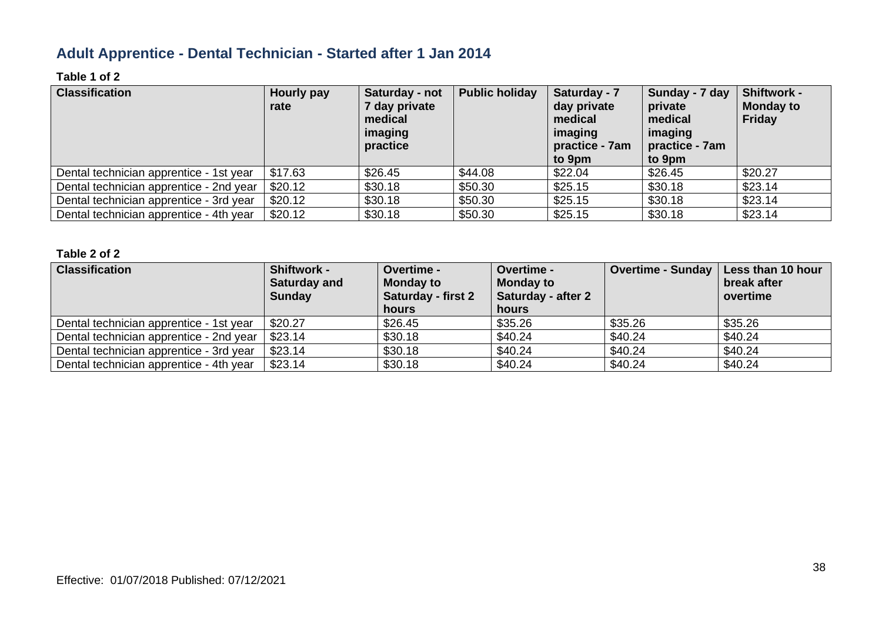### **Adult Apprentice - Dental Technician - Started after 1 Jan 2014**

### **Table 1 of 2**

| <b>Classification</b>                   | Hourly pay<br>rate | Saturday - not<br>7 day private<br>medical<br>imaging<br>practice | <b>Public holiday</b> | Saturday - 7<br>day private<br>medical<br>imaging<br>practice - 7am<br>to 9pm | Sunday - 7 day<br>private<br>medical<br>imaging<br>practice - 7am<br>to 9pm | <b>Shiftwork -</b><br><b>Monday to</b><br><b>Friday</b> |
|-----------------------------------------|--------------------|-------------------------------------------------------------------|-----------------------|-------------------------------------------------------------------------------|-----------------------------------------------------------------------------|---------------------------------------------------------|
| Dental technician apprentice - 1st year | \$17.63            | \$26.45                                                           | \$44.08               | \$22.04                                                                       | \$26.45                                                                     | \$20.27                                                 |
| Dental technician apprentice - 2nd year | \$20.12            | \$30.18                                                           | \$50.30               | \$25.15                                                                       | \$30.18                                                                     | \$23.14                                                 |
| Dental technician apprentice - 3rd year | \$20.12            | \$30.18                                                           | \$50.30               | \$25.15                                                                       | \$30.18                                                                     | \$23.14                                                 |
| Dental technician apprentice - 4th year | \$20.12            | \$30.18                                                           | \$50.30               | \$25.15                                                                       | \$30.18                                                                     | \$23.14                                                 |

| <b>Classification</b>                   | Shiftwork -<br><b>Saturday and</b><br><b>Sunday</b> | <b>Overtime -</b><br><b>Monday to</b><br><b>Saturday - first 2</b><br>hours | <b>Overtime -</b><br><b>Monday to</b><br>Saturday - after 2<br>hours | Overtime - Sunday   Less than 10 hour | break after<br>overtime |
|-----------------------------------------|-----------------------------------------------------|-----------------------------------------------------------------------------|----------------------------------------------------------------------|---------------------------------------|-------------------------|
| Dental technician apprentice - 1st year | \$20.27                                             | \$26.45                                                                     | \$35.26                                                              | \$35.26                               | \$35.26                 |
| Dental technician apprentice - 2nd year | \$23.14                                             | \$30.18                                                                     | \$40.24                                                              | \$40.24                               | \$40.24                 |
| Dental technician apprentice - 3rd year | \$23.14                                             | \$30.18                                                                     | \$40.24                                                              | \$40.24                               | \$40.24                 |
| Dental technician apprentice - 4th year | \$23.14                                             | \$30.18                                                                     | \$40.24                                                              | \$40.24                               | \$40.24                 |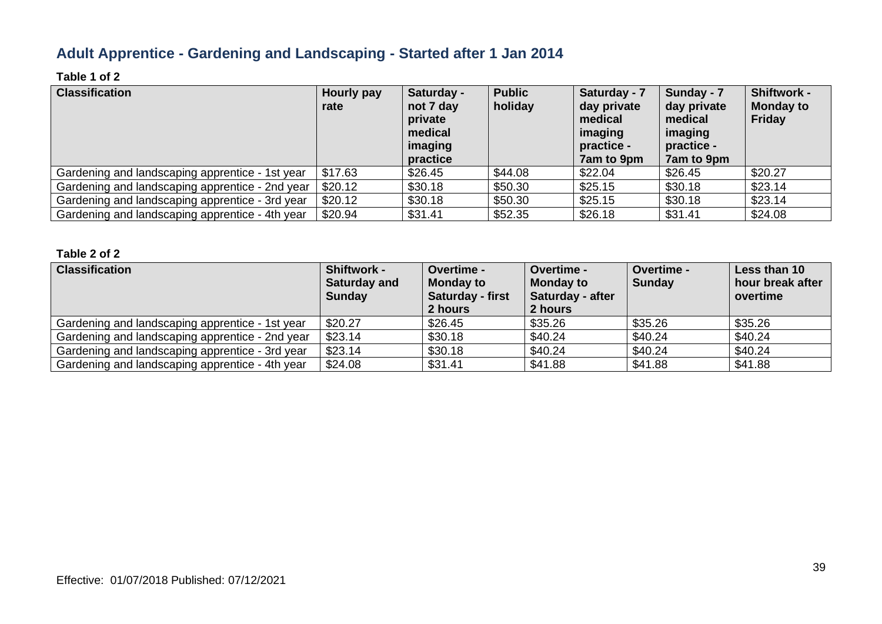## **Adult Apprentice - Gardening and Landscaping - Started after 1 Jan 2014**

### **Table 1 of 2**

| <b>Classification</b>                           | Hourly pay<br>rate | Saturday -<br>not 7 day<br>private<br>medical<br>imaging<br>practice | <b>Public</b><br>holiday | Saturday - 7<br>day private<br>medical<br>imaging<br>practice -<br>7am to 9pm | Sunday - 7<br>day private<br>medical<br>imaging<br>practice -<br>7am to 9pm | <b>Shiftwork -</b><br><b>Monday to</b><br><b>Friday</b> |
|-------------------------------------------------|--------------------|----------------------------------------------------------------------|--------------------------|-------------------------------------------------------------------------------|-----------------------------------------------------------------------------|---------------------------------------------------------|
| Gardening and landscaping apprentice - 1st year | \$17.63            | \$26.45                                                              | \$44.08                  | \$22.04                                                                       | \$26.45                                                                     | \$20.27                                                 |
| Gardening and landscaping apprentice - 2nd year | \$20.12            | \$30.18                                                              | \$50.30                  | \$25.15                                                                       | \$30.18                                                                     | \$23.14                                                 |
| Gardening and landscaping apprentice - 3rd year | \$20.12            | \$30.18                                                              | \$50.30                  | \$25.15                                                                       | \$30.18                                                                     | \$23.14                                                 |
| Gardening and landscaping apprentice - 4th year | \$20.94            | \$31.41                                                              | \$52.35                  | \$26.18                                                                       | \$31.41                                                                     | \$24.08                                                 |

| <b>Classification</b>                           | <b>Shiftwork -</b><br><b>Saturday and</b><br><b>Sunday</b> | <b>Overtime -</b><br><b>Monday to</b><br>Saturday - first<br>2 hours | <b>Overtime -</b><br><b>Monday to</b><br>Saturday - after<br>2 hours | Overtime -<br><b>Sunday</b> | Less than 10<br>hour break after<br>overtime |
|-------------------------------------------------|------------------------------------------------------------|----------------------------------------------------------------------|----------------------------------------------------------------------|-----------------------------|----------------------------------------------|
| Gardening and landscaping apprentice - 1st year | \$20.27                                                    | \$26.45                                                              | \$35.26                                                              | \$35.26                     | \$35.26                                      |
| Gardening and landscaping apprentice - 2nd year | \$23.14                                                    | \$30.18                                                              | \$40.24                                                              | \$40.24                     | \$40.24                                      |
| Gardening and landscaping apprentice - 3rd year | \$23.14                                                    | \$30.18                                                              | \$40.24                                                              | \$40.24                     | \$40.24                                      |
| Gardening and landscaping apprentice - 4th year | \$24.08                                                    | \$31.41                                                              | \$41.88                                                              | \$41.88                     | \$41.88                                      |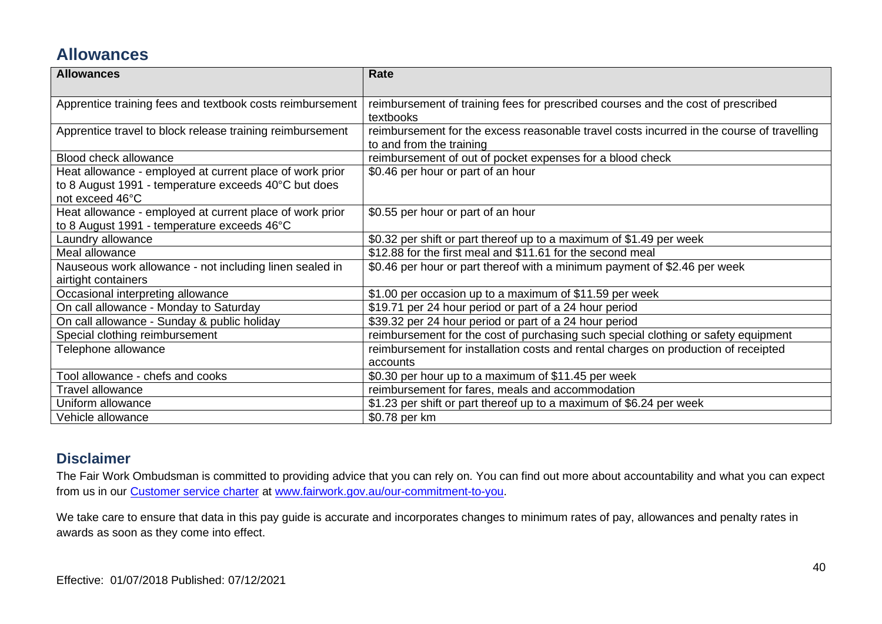## **Allowances**

| <b>Allowances</b>                                         | Rate                                                                                      |
|-----------------------------------------------------------|-------------------------------------------------------------------------------------------|
|                                                           |                                                                                           |
| Apprentice training fees and textbook costs reimbursement | reimbursement of training fees for prescribed courses and the cost of prescribed          |
|                                                           | textbooks                                                                                 |
| Apprentice travel to block release training reimbursement | reimbursement for the excess reasonable travel costs incurred in the course of travelling |
|                                                           | to and from the training                                                                  |
| Blood check allowance                                     | reimbursement of out of pocket expenses for a blood check                                 |
| Heat allowance - employed at current place of work prior  | \$0.46 per hour or part of an hour                                                        |
| to 8 August 1991 - temperature exceeds 40°C but does      |                                                                                           |
| not exceed 46°C                                           |                                                                                           |
| Heat allowance - employed at current place of work prior  | \$0.55 per hour or part of an hour                                                        |
| to 8 August 1991 - temperature exceeds 46°C               |                                                                                           |
| Laundry allowance                                         | \$0.32 per shift or part thereof up to a maximum of \$1.49 per week                       |
| Meal allowance                                            | \$12.88 for the first meal and \$11.61 for the second meal                                |
| Nauseous work allowance - not including linen sealed in   | \$0.46 per hour or part thereof with a minimum payment of \$2.46 per week                 |
| airtight containers                                       |                                                                                           |
| Occasional interpreting allowance                         | \$1.00 per occasion up to a maximum of \$11.59 per week                                   |
| On call allowance - Monday to Saturday                    | \$19.71 per 24 hour period or part of a 24 hour period                                    |
| On call allowance - Sunday & public holiday               | \$39.32 per 24 hour period or part of a 24 hour period                                    |
| Special clothing reimbursement                            | reimbursement for the cost of purchasing such special clothing or safety equipment        |
| Telephone allowance                                       | reimbursement for installation costs and rental charges on production of receipted        |
|                                                           | accounts                                                                                  |
| Tool allowance - chefs and cooks                          | \$0.30 per hour up to a maximum of \$11.45 per week                                       |
| <b>Travel allowance</b>                                   | reimbursement for fares, meals and accommodation                                          |
| Uniform allowance                                         | \$1.23 per shift or part thereof up to a maximum of \$6.24 per week                       |
| Vehicle allowance                                         | \$0.78 per km                                                                             |

### **Disclaimer**

The Fair Work Ombudsman is committed to providing advice that you can rely on. You can find out more about accountability and what you can expect from us in our [Customer service charter](https://www.fairwork.gov.au/about-us/our-role-and-purpose/our-priorities/our-commitment-to-you#customer-service-charter) at [www.fairwork.gov.au/our-commitment-to-you.](http://www.fairwork.gov.au/our-commitment-to-you)

We take care to ensure that data in this pay guide is accurate and incorporates changes to minimum rates of pay, allowances and penalty rates in awards as soon as they come into effect.